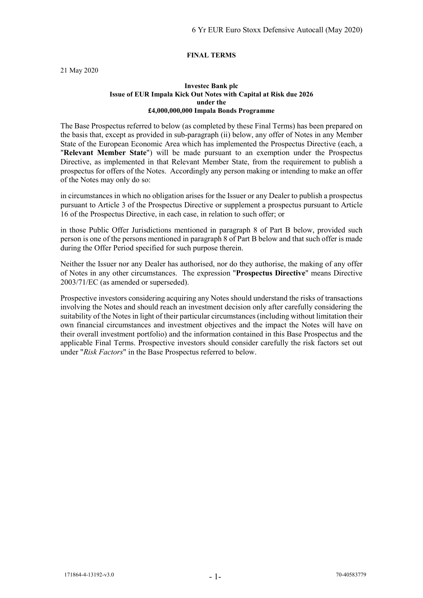#### **FINAL TERMS**

21 May 2020

#### **Investec Bank plc Issue of EUR Impala Kick Out Notes with Capital at Risk due 2026 under the £4,000,000,000 Impala Bonds Programme**

The Base Prospectus referred to below (as completed by these Final Terms) has been prepared on the basis that, except as provided in sub-paragraph (ii) below, any offer of Notes in any Member State of the European Economic Area which has implemented the Prospectus Directive (each, a "**Relevant Member State**") will be made pursuant to an exemption under the Prospectus Directive, as implemented in that Relevant Member State, from the requirement to publish a prospectus for offers of the Notes. Accordingly any person making or intending to make an offer of the Notes may only do so:

in circumstances in which no obligation arises for the Issuer or any Dealer to publish a prospectus pursuant to Article 3 of the Prospectus Directive or supplement a prospectus pursuant to Article 16 of the Prospectus Directive, in each case, in relation to such offer; or

in those Public Offer Jurisdictions mentioned in paragraph 8 of Part B below, provided such person is one of the persons mentioned in paragraph 8 of Part B below and that such offer is made during the Offer Period specified for such purpose therein.

Neither the Issuer nor any Dealer has authorised, nor do they authorise, the making of any offer of Notes in any other circumstances. The expression "**Prospectus Directive**" means Directive 2003/71/EC (as amended or superseded).

Prospective investors considering acquiring any Notes should understand the risks of transactions involving the Notes and should reach an investment decision only after carefully considering the suitability of the Notes in light of their particular circumstances (including without limitation their own financial circumstances and investment objectives and the impact the Notes will have on their overall investment portfolio) and the information contained in this Base Prospectus and the applicable Final Terms. Prospective investors should consider carefully the risk factors set out under "*Risk Factors*" in the Base Prospectus referred to below.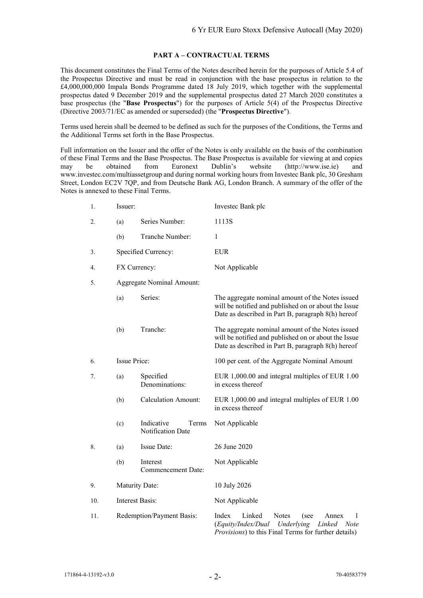#### **PART A – CONTRACTUAL TERMS**

This document constitutes the Final Terms of the Notes described herein for the purposes of Article 5.4 of the Prospectus Directive and must be read in conjunction with the base prospectus in relation to the £4,000,000,000 Impala Bonds Programme dated 18 July 2019, which together with the supplemental prospectus dated 9 December 2019 and the supplemental prospectus dated 27 March 2020 constitutes a base prospectus (the "**Base Prospectus**") for the purposes of Article 5(4) of the Prospectus Directive (Directive 2003/71/EC as amended or superseded) (the "**Prospectus Directive**").

Terms used herein shall be deemed to be defined as such for the purposes of the Conditions, the Terms and the Additional Terms set forth in the Base Prospectus.

Full information on the Issuer and the offer of the Notes is only available on the basis of the combination of these Final Terms and the Base Prospectus. The Base Prospectus is available for viewing at and copies may be obtained from Euronext Dublin's website (http://www.ise.ie) and www.investec.com/multiassetgroup and during normal working hours from Investec Bank plc, 30 Gresham Street, London EC2V 7QP, and from Deutsche Bank AG, London Branch. A summary of the offer of the Notes is annexed to these Final Terms.

| 1.  | Issuer:                   |                                          | Investec Bank plc                                                                                                                                                                  |  |  |
|-----|---------------------------|------------------------------------------|------------------------------------------------------------------------------------------------------------------------------------------------------------------------------------|--|--|
| 2.  | (a)                       | Series Number:                           | 1113S                                                                                                                                                                              |  |  |
|     | (b)                       | Tranche Number:                          | 1                                                                                                                                                                                  |  |  |
| 3.  |                           | Specified Currency:                      | <b>EUR</b>                                                                                                                                                                         |  |  |
| 4.  | FX Currency:              |                                          | Not Applicable                                                                                                                                                                     |  |  |
| 5.  |                           | <b>Aggregate Nominal Amount:</b>         |                                                                                                                                                                                    |  |  |
|     | (a)                       | Series:                                  | The aggregate nominal amount of the Notes issued<br>will be notified and published on or about the Issue<br>Date as described in Part B, paragraph 8(h) hereof                     |  |  |
|     | (b)                       | Tranche:                                 | The aggregate nominal amount of the Notes issued<br>will be notified and published on or about the Issue<br>Date as described in Part B, paragraph 8(h) hereof                     |  |  |
| 6.  | <b>Issue Price:</b>       |                                          | 100 per cent. of the Aggregate Nominal Amount                                                                                                                                      |  |  |
| 7.  | (a)                       | Specified<br>Denominations:              | EUR 1,000.00 and integral multiples of EUR 1.00<br>in excess thereof                                                                                                               |  |  |
|     | (b)                       | <b>Calculation Amount:</b>               | EUR 1,000.00 and integral multiples of EUR 1.00<br>in excess thereof                                                                                                               |  |  |
|     | (c)                       | Indicative<br>Terms<br>Notification Date | Not Applicable                                                                                                                                                                     |  |  |
| 8.  | (a)                       | Issue Date:                              | 26 June 2020                                                                                                                                                                       |  |  |
|     | (b)                       | Interest<br>Commencement Date:           | Not Applicable                                                                                                                                                                     |  |  |
| 9.  |                           | Maturity Date:                           | 10 July 2026                                                                                                                                                                       |  |  |
| 10. |                           | <b>Interest Basis:</b>                   | Not Applicable                                                                                                                                                                     |  |  |
| 11. | Redemption/Payment Basis: |                                          | Index<br>Linked<br><b>Notes</b><br>(see<br>Annex<br>1<br>(Equity/Index/Dual<br>Underlying<br>Linked<br><b>Note</b><br><i>Provisions</i> ) to this Final Terms for further details) |  |  |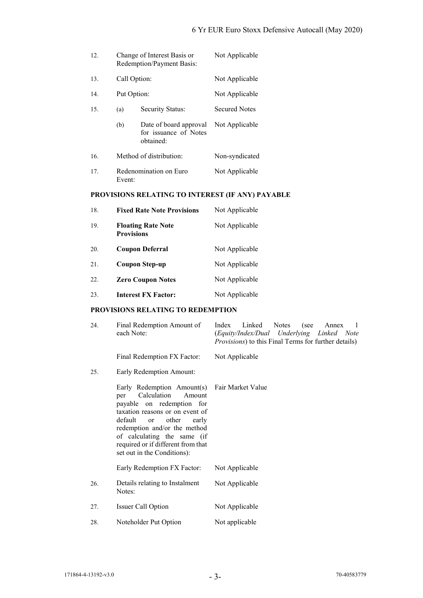| 12. |              | Change of Interest Basis or<br>Redemption/Payment Basis:     | Not Applicable       |
|-----|--------------|--------------------------------------------------------------|----------------------|
| 13. | Call Option: |                                                              | Not Applicable       |
| 14. | Put Option:  |                                                              | Not Applicable       |
| 15. | (a)          | Security Status:                                             | <b>Secured Notes</b> |
|     | (b)          | Date of board approval<br>for issuance of Notes<br>obtained: | Not Applicable       |
| 16. |              | Method of distribution:                                      | Non-syndicated       |
| 17. | Event:       | Redenomination on Euro                                       | Not Applicable       |

# **PROVISIONS RELATING TO INTEREST (IF ANY) PAYABLE**

| 18. | <b>Fixed Rate Note Provisions</b>              | Not Applicable |
|-----|------------------------------------------------|----------------|
| 19. | <b>Floating Rate Note</b><br><b>Provisions</b> | Not Applicable |
| 20. | <b>Coupon Deferral</b>                         | Not Applicable |
| 21. | <b>Coupon Step-up</b>                          | Not Applicable |
| 22. | <b>Zero Coupon Notes</b>                       | Not Applicable |
| 23. | <b>Interest FX Factor:</b>                     | Not Applicable |

## **PROVISIONS RELATING TO REDEMPTION**

| 24. | Final Redemption Amount of<br>each Note:                                                                                                                                                                                                                                                                     | Linked<br>Index<br>Notes<br>(see<br>Annex<br>-1<br>(Equity/Index/Dual Underlying Linked Note<br><i>Provisions</i> ) to this Final Terms for further details) |
|-----|--------------------------------------------------------------------------------------------------------------------------------------------------------------------------------------------------------------------------------------------------------------------------------------------------------------|--------------------------------------------------------------------------------------------------------------------------------------------------------------|
|     | Final Redemption FX Factor:                                                                                                                                                                                                                                                                                  | Not Applicable                                                                                                                                               |
| 25. | Early Redemption Amount:                                                                                                                                                                                                                                                                                     |                                                                                                                                                              |
|     | Early Redemption Amount(s)<br>Calculation<br>Amount<br>per<br>payable on redemption for<br>taxation reasons or on event of<br>default<br>other<br>early<br><sub>or</sub><br>redemption and/or the method<br>of calculating the same (if<br>required or if different from that<br>set out in the Conditions): | Fair Market Value                                                                                                                                            |
|     | Early Redemption FX Factor:                                                                                                                                                                                                                                                                                  | Not Applicable                                                                                                                                               |
| 26. | Details relating to Instalment<br>Notes:                                                                                                                                                                                                                                                                     | Not Applicable                                                                                                                                               |
| 27. | Issuer Call Option                                                                                                                                                                                                                                                                                           | Not Applicable                                                                                                                                               |
| 28. | Noteholder Put Option                                                                                                                                                                                                                                                                                        | Not applicable                                                                                                                                               |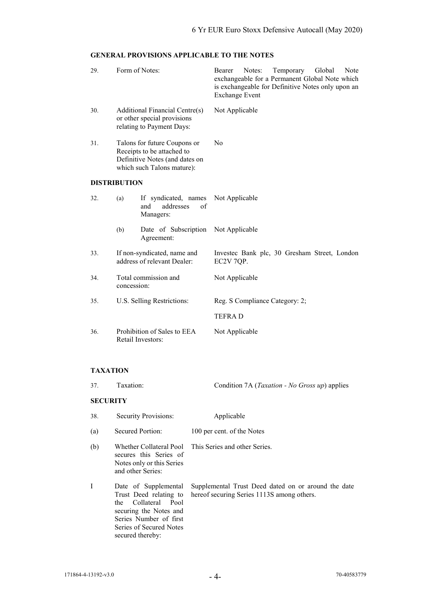## **GENERAL PROVISIONS APPLICABLE TO THE NOTES**

| 29.                 | Form of Notes:                                                                                                             |                                                             | Bearer<br><b>Exchange Event</b> | Notes: | Temporary<br>exchangeable for a Permanent Global Note which<br>is exchangeable for Definitive Notes only upon an | Global | Note |
|---------------------|----------------------------------------------------------------------------------------------------------------------------|-------------------------------------------------------------|---------------------------------|--------|------------------------------------------------------------------------------------------------------------------|--------|------|
| 30.                 | Additional Financial Centre(s)<br>or other special provisions<br>relating to Payment Days:                                 |                                                             | Not Applicable                  |        |                                                                                                                  |        |      |
| 31.                 | Talons for future Coupons or<br>Receipts to be attached to<br>Definitive Notes (and dates on<br>which such Talons mature): |                                                             | N <sub>0</sub>                  |        |                                                                                                                  |        |      |
| <b>DISTRIBUTION</b> |                                                                                                                            |                                                             |                                 |        |                                                                                                                  |        |      |
| 32.                 | (a)                                                                                                                        | If syndicated, names<br>addresses<br>of<br>and<br>Managers: | Not Applicable                  |        |                                                                                                                  |        |      |
|                     | (b)                                                                                                                        | Date of Subscription<br>Agreement:                          | Not Applicable                  |        |                                                                                                                  |        |      |
| 33.                 | If non-syndicated, name and<br>address of relevant Dealer:                                                                 |                                                             | EC2V 7QP.                       |        | Investec Bank plc, 30 Gresham Street, London                                                                     |        |      |
| 34.                 | Total commission and<br>concession:                                                                                        |                                                             | Not Applicable                  |        |                                                                                                                  |        |      |
| 35.                 | U.S. Selling Restrictions:                                                                                                 |                                                             | Reg. S Compliance Category: 2;  |        |                                                                                                                  |        |      |
|                     |                                                                                                                            |                                                             | <b>TEFRAD</b>                   |        |                                                                                                                  |        |      |
| 36.                 |                                                                                                                            | Prohibition of Sales to EEA<br>Retail Investors:            | Not Applicable                  |        |                                                                                                                  |        |      |

## **TAXATION**

| 37.             | Taxation:                                                                                                                                                                   | Condition 7A ( <i>Taxation - No Gross up</i> ) applies                                            |
|-----------------|-----------------------------------------------------------------------------------------------------------------------------------------------------------------------------|---------------------------------------------------------------------------------------------------|
| <b>SECURITY</b> |                                                                                                                                                                             |                                                                                                   |
| 38.             | Security Provisions:                                                                                                                                                        | Applicable                                                                                        |
| (a)             | Secured Portion:                                                                                                                                                            | 100 per cent. of the Notes                                                                        |
| (b)             | secures this Series of<br>Notes only or this Series<br>and other Series:                                                                                                    | Whether Collateral Pool This Series and other Series.                                             |
| I               | Date of Supplemental<br>Trust Deed relating to<br>Collateral Pool<br>the<br>securing the Notes and<br>Series Number of first<br>Series of Secured Notes<br>secured thereby: | Supplemental Trust Deed dated on or around the date<br>hereof securing Series 1113S among others. |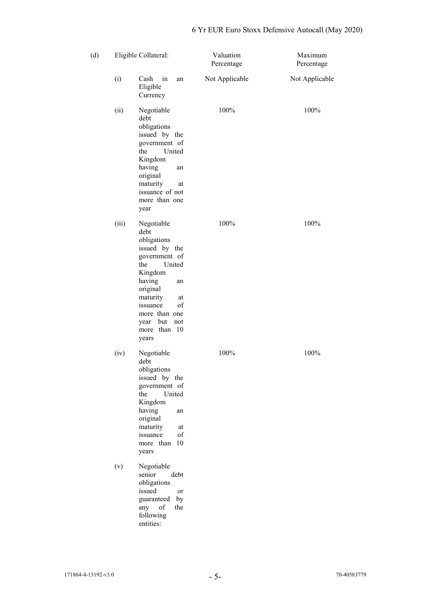| (d) |       | Eligible Collateral:                                                                                                                                                                                                         | Valuation<br>Percentage | Maximum<br>Percentage |
|-----|-------|------------------------------------------------------------------------------------------------------------------------------------------------------------------------------------------------------------------------------|-------------------------|-----------------------|
|     | (i)   | Cash in<br>an<br>Eligible<br>Currency                                                                                                                                                                                        | Not Applicable          | Not Applicable        |
|     | (ii)  | Negotiable<br>debt<br>obligations<br>issued by the<br>government of<br>the<br>United<br>Kingdom<br>having<br>an<br>original<br>maturity<br>at<br>issuance of not<br>more than one<br>year                                    | 100%                    | 100%                  |
|     | (iii) | Negotiable<br>debt<br>obligations<br>issued by the<br>government of<br>the<br>United<br>Kingdom<br>having<br>an<br>original<br>maturity<br>at<br>of<br>issuance<br>more than one<br>year but<br>not<br>more than 10<br>years | 100%                    | 100%                  |
|     | (iv)  | Negotiable<br>debt<br>obligations<br>issued by the<br>government of<br>United<br>the<br>Kingdom<br>having<br>an<br>original<br>maturity<br>at<br>issuance<br>of<br>10<br>more than<br>years                                  | 100%                    | 100%                  |
|     | (v)   | Negotiable<br>senior<br>debt<br>obligations<br>issued<br>or<br>guaranteed<br>by<br>any of<br>the<br>following<br>entities:                                                                                                   |                         |                       |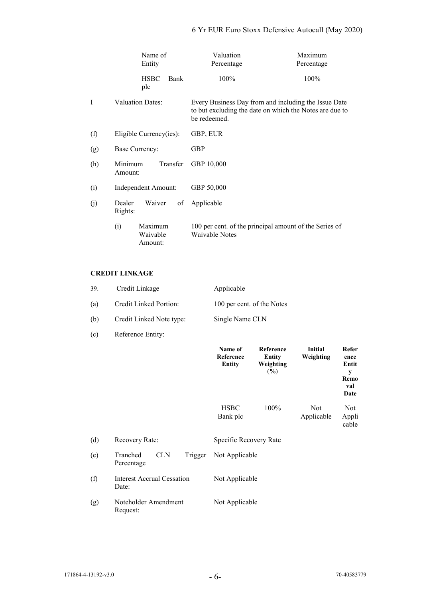# 6 Yr EUR Euro Stoxx Defensive Autocall (May 2020)

|     | Name of<br>Entity                     | Valuation<br>Percentage                                                                                                         | Maximum<br>Percentage |  |
|-----|---------------------------------------|---------------------------------------------------------------------------------------------------------------------------------|-----------------------|--|
|     | <b>HSBC</b><br>Bank<br>plc            | 100%                                                                                                                            | 100%                  |  |
| I   | <b>Valuation Dates:</b>               | Every Business Day from and including the Issue Date<br>to but excluding the date on which the Notes are due to<br>be redeemed. |                       |  |
| (f) | Eligible Currency(ies):               | GBP, EUR                                                                                                                        |                       |  |
| (g) | Base Currency:                        | <b>GBP</b>                                                                                                                      |                       |  |
| (h) | Minimum<br>Transfer<br>Amount:        | GBP 10,000                                                                                                                      |                       |  |
| (i) | Independent Amount:                   | GBP 50,000                                                                                                                      |                       |  |
| (j) | Dealer<br>Waiver<br>of<br>Rights:     | Applicable                                                                                                                      |                       |  |
|     | Maximum<br>(i)<br>Waivable<br>Amount: | 100 per cent. of the principal amount of the Series of<br>Waivable Notes                                                        |                       |  |

## **CREDIT LINKAGE**

| 39. | Credit Linkage           | Applicable                 |
|-----|--------------------------|----------------------------|
| (a) | Credit Linked Portion:   | 100 per cent. of the Notes |
| (b) | Credit Linked Note type: | Single Name CLN            |

(c) Reference Entity:

|     |                                                 | Name of<br>Reference<br><b>Entity</b> | Reference<br>Entity<br>Weighting<br>$(\%)$ | <b>Initial</b><br>Weighting | Refer<br>ence<br>Entit<br>y<br>Remo<br>val<br>Date |
|-----|-------------------------------------------------|---------------------------------------|--------------------------------------------|-----------------------------|----------------------------------------------------|
|     |                                                 | <b>HSBC</b><br>Bank plc               | 100%                                       | <b>Not</b><br>Applicable    | Not.<br>Appli<br>cable                             |
| (d) | Recovery Rate:                                  | Specific Recovery Rate                |                                            |                             |                                                    |
| (e) | <b>CLN</b><br>Tranched<br>Trigger<br>Percentage | Not Applicable                        |                                            |                             |                                                    |
| (f) | <b>Interest Accrual Cessation</b><br>Date:      | Not Applicable                        |                                            |                             |                                                    |
| (g) | Noteholder Amendment<br>Request:                | Not Applicable                        |                                            |                             |                                                    |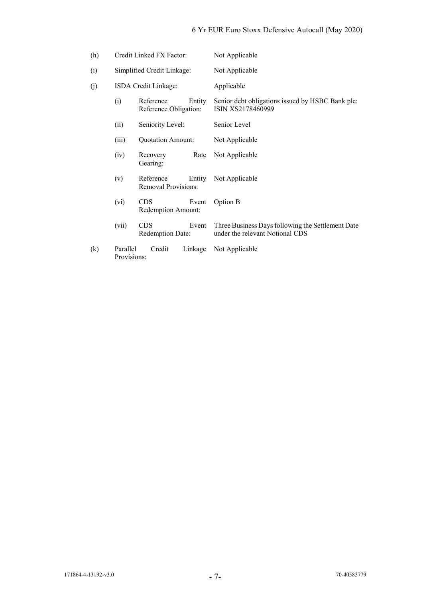# 6 Yr EUR Euro Stoxx Defensive Autocall (May 2020)

| (h) | Credit Linked FX Factor:                            |                                         |         | Not Applicable                                                                       |
|-----|-----------------------------------------------------|-----------------------------------------|---------|--------------------------------------------------------------------------------------|
| (i) |                                                     | Simplified Credit Linkage:              |         | Not Applicable                                                                       |
| (j) |                                                     | ISDA Credit Linkage:                    |         | Applicable                                                                           |
|     | (i)<br>Reference<br>Entity<br>Reference Obligation: |                                         |         | Senior debt obligations issued by HSBC Bank plc:<br>ISIN XS2178460999                |
|     | (ii)                                                | Seniority Level:                        |         | Senior Level                                                                         |
|     | (iii)                                               | <b>Quotation Amount:</b>                |         | Not Applicable                                                                       |
|     | (iv)                                                | Recovery<br>Gearing:                    | Rate    | Not Applicable                                                                       |
|     | (v)                                                 | Reference<br><b>Removal Provisions:</b> | Entity  | Not Applicable                                                                       |
|     | (vi)                                                | <b>CDS</b><br>Redemption Amount:        | Event   | Option B                                                                             |
|     | (vii)                                               | <b>CDS</b><br><b>Redemption Date:</b>   | Event   | Three Business Days following the Settlement Date<br>under the relevant Notional CDS |
| (k) | Parallel<br>Provisions:                             | Credit                                  | Linkage | Not Applicable                                                                       |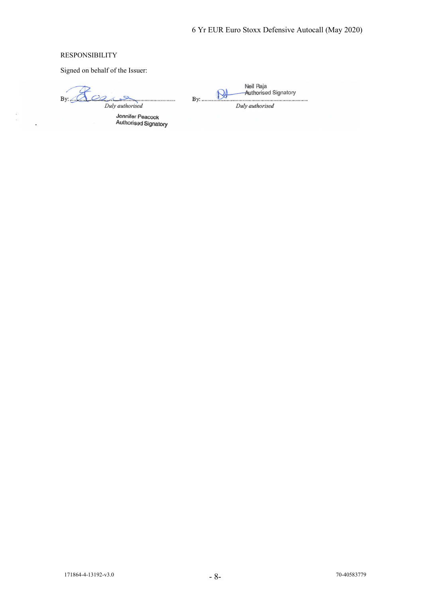## RESPONSIBILITY

Signed on behalf of the Issuer:

 $OQ$  $By:  $\mathbb{C}$$  $\sum_{n=1}^{\infty}$  $\mathcal{A}$ 

. . . . . . . . . . . . . . . . . . . . Duly authorised

Jennifer Peacock<br>Authorised Signatory

Neil Raja<br>Authorised Signatory N 

**By:** .......

Duly authorised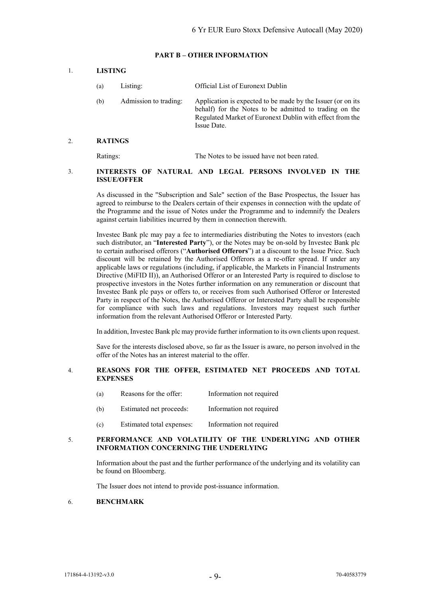#### **PART B – OTHER INFORMATION**

#### 1. **LISTING**

- (a) Listing: Official List of Euronext Dublin
- (b) Admission to trading: Application is expected to be made by the Issuer (or on its behalf) for the Notes to be admitted to trading on the Regulated Market of Euronext Dublin with effect from the Issue Date.

#### 2. **RATINGS**

Ratings: The Notes to be issued have not been rated.

#### 3. **INTERESTS OF NATURAL AND LEGAL PERSONS INVOLVED IN THE ISSUE/OFFER**

As discussed in the "Subscription and Sale" section of the Base Prospectus, the Issuer has agreed to reimburse to the Dealers certain of their expenses in connection with the update of the Programme and the issue of Notes under the Programme and to indemnify the Dealers against certain liabilities incurred by them in connection therewith.

Investec Bank plc may pay a fee to intermediaries distributing the Notes to investors (each such distributor, an "**Interested Party**"), or the Notes may be on-sold by Investec Bank plc to certain authorised offerors ("**Authorised Offerors**") at a discount to the Issue Price. Such discount will be retained by the Authorised Offerors as a re-offer spread. If under any applicable laws or regulations (including, if applicable, the Markets in Financial Instruments Directive (MiFID II)), an Authorised Offeror or an Interested Party is required to disclose to prospective investors in the Notes further information on any remuneration or discount that Investec Bank plc pays or offers to, or receives from such Authorised Offeror or Interested Party in respect of the Notes, the Authorised Offeror or Interested Party shall be responsible for compliance with such laws and regulations. Investors may request such further information from the relevant Authorised Offeror or Interested Party.

In addition, Investec Bank plc may provide further information to its own clients upon request.

Save for the interests disclosed above, so far as the Issuer is aware, no person involved in the offer of the Notes has an interest material to the offer.

#### 4. **REASONS FOR THE OFFER, ESTIMATED NET PROCEEDS AND TOTAL EXPENSES**

- (a) Reasons for the offer: Information not required
- (b) Estimated net proceeds: Information not required
- (c) Estimated total expenses: Information not required

#### 5. **PERFORMANCE AND VOLATILITY OF THE UNDERLYING AND OTHER INFORMATION CONCERNING THE UNDERLYING**

Information about the past and the further performance of the underlying and its volatility can be found on Bloomberg.

The Issuer does not intend to provide post-issuance information.

## 6. **BENCHMARK**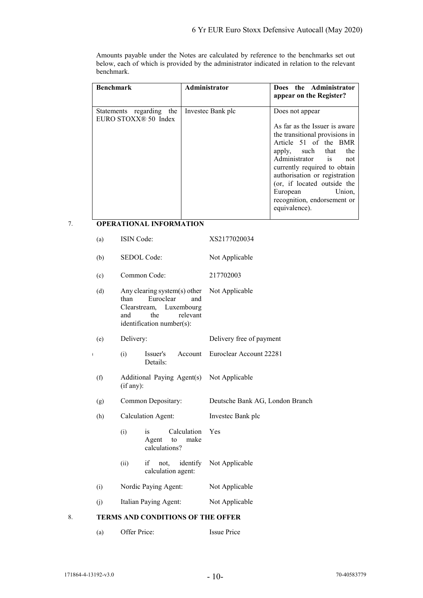Amounts payable under the Notes are calculated by reference to the benchmarks set out below, each of which is provided by the administrator indicated in relation to the relevant benchmark.

| <b>Benchmark</b>                                             | Administrator     | Does the Administrator<br>appear on the Register?                                                                                                                                                                                                                                                                                 |
|--------------------------------------------------------------|-------------------|-----------------------------------------------------------------------------------------------------------------------------------------------------------------------------------------------------------------------------------------------------------------------------------------------------------------------------------|
| Statements regarding the<br>EURO STOXX <sup>®</sup> 50 Index | Investec Bank plc | Does not appear<br>As far as the Issuer is aware<br>the transitional provisions in<br>Article 51 of the BMR<br>apply, such that<br>the<br>Administrator is not<br>currently required to obtain<br>authorisation or registration<br>(or, if located outside the<br>European Union,<br>recognition, endorsement or<br>equivalence). |

## 7. **OPERATIONAL INFORMATION**

|    | (a)                      | ISIN Code:                                                                                                                                    | XS2177020034                    |
|----|--------------------------|-----------------------------------------------------------------------------------------------------------------------------------------------|---------------------------------|
|    | (b)                      | SEDOL Code:                                                                                                                                   | Not Applicable                  |
|    | (c)                      | Common Code:                                                                                                                                  | 217702003                       |
|    | (d)                      | Any clearing system(s) other<br>than<br>Euroclear<br>and<br>Clearstream,<br>Luxembourg<br>the<br>relevant<br>and<br>identification number(s): | Not Applicable                  |
|    | (e)                      | Delivery:                                                                                                                                     | Delivery free of payment        |
|    | $\overline{\phantom{a}}$ | (i)<br>Issuer's<br>Account<br>Details:                                                                                                        | Euroclear Account 22281         |
|    | (f)                      | Additional Paying Agent(s)<br>(if any):                                                                                                       | Not Applicable                  |
|    | (g)                      | Common Depositary:                                                                                                                            | Deutsche Bank AG, London Branch |
|    | (h)                      | <b>Calculation Agent:</b>                                                                                                                     | Investec Bank plc               |
|    |                          | Calculation<br>(i)<br>is<br>make<br>to<br>Agent<br>calculations?                                                                              | Yes                             |
|    |                          | if<br>not, identify<br>(ii)<br>calculation agent:                                                                                             | Not Applicable                  |
|    | (i)                      | Nordic Paying Agent:                                                                                                                          | Not Applicable                  |
|    | (i)                      | Italian Paying Agent:                                                                                                                         | Not Applicable                  |
| 8. |                          | <b>TERMS AND CONDITIONS OF THE OFFER</b>                                                                                                      |                                 |
|    |                          |                                                                                                                                               |                                 |

(a) Offer Price: Issue Price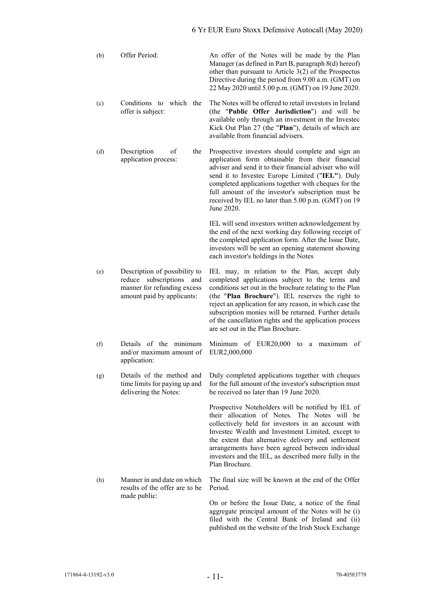| (b) | Offer Period:                                   | An offer of the Notes will be made by the Plan<br>Manager (as defined in Part B, paragraph 8(d) hereof)<br>other than pursuant to Article $3(2)$ of the Prospectus<br>Directive during the period from 9.00 a.m. (GMT) on<br>22 May 2020 until 5.00 p.m. (GMT) on 19 June 2020. |
|-----|-------------------------------------------------|---------------------------------------------------------------------------------------------------------------------------------------------------------------------------------------------------------------------------------------------------------------------------------|
| (c) | Conditions to which<br>the<br>offer is subject: | The Notes will be offered to retail investors in Ireland<br>(the " <b>Public Offer Jurisdiction</b> ") and will be<br>available only through an investment in the Investee<br>Kick Out Plan 27 (the "Plan"), details of which are<br>available from financial advisers.         |

(d) Description of the application process: Prospective investors should complete and sign an application form obtainable from their financial adviser and send it to their financial adviser who will send it to Investec Europe Limited ("**IEL"**). Duly completed applications together with cheques for the full amount of the investor's subscription must be received by IEL no later than 5.00 p.m. (GMT) on 19 June 2020.

> IEL will send investors written acknowledgement by the end of the next working day following receipt of the completed application form. After the Issue Date, investors will be sent an opening statement showing each investor's holdings in the Notes

> of the cancellation rights and the application process

are set out in the Plan Brochure.

- (e) Description of possibility to reduce subscriptions and manner for refunding excess amount paid by applicants: IEL may, in relation to the Plan, accept duly completed applications subject to the terms and conditions set out in the brochure relating to the Plan (the "**Plan Brochure**"). IEL reserves the right to reject an application for any reason, in which case the subscription monies will be returned. Further details
- (f) Details of the minimum and/or maximum amount of application: Minimum of EUR20,000 to a maximum of EUR2,000,000
- (g) Details of the method and time limits for paying up and delivering the Notes: Duly completed applications together with cheques for the full amount of the investor's subscription must be received no later than 19 June 2020.

Prospective Noteholders will be notified by IEL of their allocation of Notes. The Notes will be collectively held for investors in an account with Investec Wealth and Investment Limited, except to the extent that alternative delivery and settlement arrangements have been agreed between individual investors and the IEL, as described more fully in the Plan Brochure.

(h) Manner in and date on which results of the offer are to be made public: The final size will be known at the end of the Offer Period.

On or before the Issue Date, a notice of the final aggregate principal amount of the Notes will be (i) filed with the Central Bank of Ireland and (ii) published on the website of the Irish Stock Exchange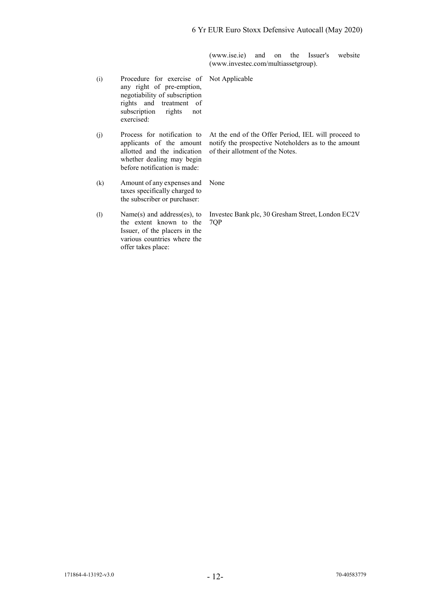(www.ise.ie) and on the Issuer's website (www.investec.com/multiassetgroup).

At the end of the Offer Period, IEL will proceed to notify the prospective Noteholders as to the amount

(i) Procedure for exercise of any right of pre-emption, negotiability of subscription rights and treatment of subscription rights not exercised: Not Applicable

(j) Process for notification to applicants of the amount allotted and the indication whether dealing may begin before notification is made:

(k) Amount of any expenses and taxes specifically charged to the subscriber or purchaser: None

Investec Bank plc, 30 Gresham Street, London EC2V

of their allotment of the Notes.

(l) Name(s) and address(es), to the extent known to the Issuer, of the placers in the various countries where the offer takes place: 7QP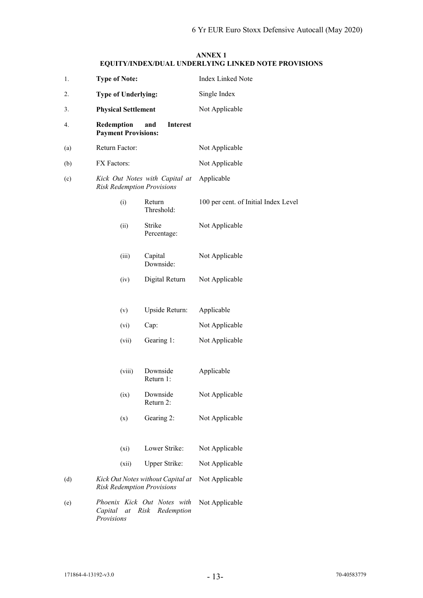## **ANNEX 1 EQUITY/INDEX/DUAL UNDERLYING LINKED NOTE PROVISIONS**

| 1.  | <b>Type of Note:</b>                                                             | <b>Index Linked Note</b>             |  |  |
|-----|----------------------------------------------------------------------------------|--------------------------------------|--|--|
| 2.  | <b>Type of Underlying:</b>                                                       | Single Index                         |  |  |
| 3.  | <b>Physical Settlement</b>                                                       | Not Applicable                       |  |  |
| 4.  | Redemption<br><b>Interest</b><br>and<br><b>Payment Provisions:</b>               |                                      |  |  |
| (a) | Return Factor:                                                                   | Not Applicable                       |  |  |
| (b) | FX Factors:                                                                      | Not Applicable                       |  |  |
| (c) | Kick Out Notes with Capital at<br><b>Risk Redemption Provisions</b>              | Applicable                           |  |  |
|     | (i)<br>Return<br>Threshold:                                                      | 100 per cent. of Initial Index Level |  |  |
|     | Strike<br>(ii)<br>Percentage:                                                    | Not Applicable                       |  |  |
|     | Capital<br>(iii)<br>Downside:                                                    | Not Applicable                       |  |  |
|     | Digital Return<br>(iv)                                                           | Not Applicable                       |  |  |
|     | Upside Return:<br>(v)                                                            | Applicable                           |  |  |
|     | Cap:<br>(vi)                                                                     | Not Applicable                       |  |  |
|     | Gearing 1:<br>(vii)                                                              | Not Applicable                       |  |  |
|     | (viii)<br>Downside<br>Return 1:                                                  | Applicable                           |  |  |
|     | Downside<br>(ix)<br>Return 2:                                                    | Not Applicable                       |  |  |
|     | Gearing 2:<br>(x)                                                                | Not Applicable                       |  |  |
|     | Lower Strike:<br>$(x_i)$                                                         | Not Applicable                       |  |  |
|     | Upper Strike:<br>(xii)                                                           | Not Applicable                       |  |  |
| (d) | Kick Out Notes without Capital at<br><b>Risk Redemption Provisions</b>           | Not Applicable                       |  |  |
| (e) | Phoenix Kick Out Notes with<br>Risk<br>Capital<br>Redemption<br>at<br>Provisions | Not Applicable                       |  |  |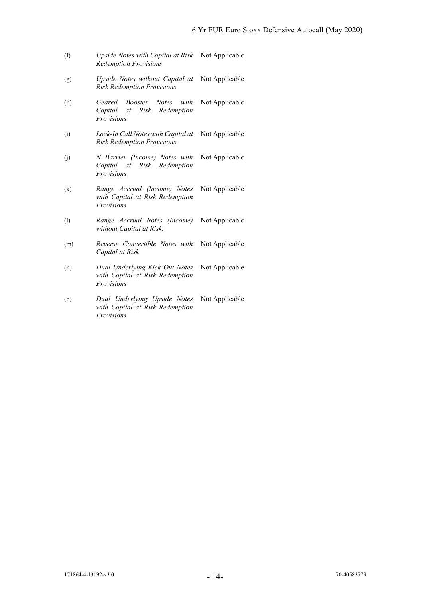- (f) *Upside Notes with Capital at Risk*  Not Applicable *Redemption Provisions*
- (g) *Upside Notes without Capital at*  Not Applicable *Risk Redemption Provisions*
- (h) *Geared Booster Notes with Capital at Risk Redemption Provisions* Not Applicable
- (i) *Lock-In Call Notes with Capital at*  Not Applicable *Risk Redemption Provisions*
- (j) *N Barrier (Income) Notes with Capital at Risk Redemption Provisions* Not Applicable
- (k) *Range Accrual (Income) Notes with Capital at Risk Redemption Provisions* Not Applicable
- (l) *Range Accrual Notes (Income) without Capital at Risk:* Not Applicable
- (m) *Reverse Convertible Notes with Capital at Risk* Not Applicable
- (n) *Dual Underlying Kick Out Notes with Capital at Risk Redemption Provisions* Not Applicable
- (o) *Dual Underlying Upside Notes with Capital at Risk Redemption Provisions* Not Applicable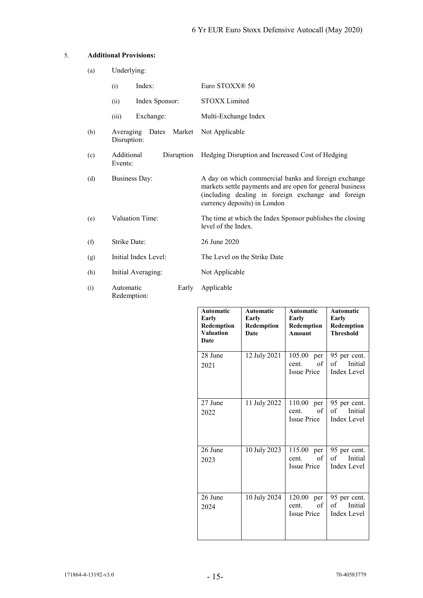## 5. **Additional Provisions:**

| (a) | Underlying:                                 |                |       |                                                                                                                                                                                                         |
|-----|---------------------------------------------|----------------|-------|---------------------------------------------------------------------------------------------------------------------------------------------------------------------------------------------------------|
|     | (i)                                         | Index:         |       | Euro STOXX® 50                                                                                                                                                                                          |
|     | (ii)                                        | Index Sponsor: |       | STOXX Limited                                                                                                                                                                                           |
|     | (iii)                                       | Exchange:      |       | Multi-Exchange Index                                                                                                                                                                                    |
| (b) | Averaging<br>Dates<br>Market<br>Disruption: |                |       | Not Applicable                                                                                                                                                                                          |
| (c) | Additional<br>Disruption<br>Events:         |                |       | Hedging Disruption and Increased Cost of Hedging                                                                                                                                                        |
| (d) | <b>Business Day:</b>                        |                |       | A day on which commercial banks and foreign exchange<br>markets settle payments and are open for general business<br>(including dealing in foreign exchange and foreign<br>currency deposits) in London |
| (e) | <b>Valuation Time:</b>                      |                |       | The time at which the Index Sponsor publishes the closing<br>level of the Index.                                                                                                                        |
| (f) | <b>Strike Date:</b>                         |                |       | 26 June 2020                                                                                                                                                                                            |
| (g) | Initial Index Level:                        |                |       | The Level on the Strike Date                                                                                                                                                                            |
| (h) | Initial Averaging:                          |                |       | Not Applicable                                                                                                                                                                                          |
| (i) | Automatic<br>Redemption:                    |                | Early | Applicable                                                                                                                                                                                              |

| <b>Automatic</b><br>Early<br>Redemption<br><b>Valuation</b><br>Date | <b>Automatic</b><br>Early<br>Redemption<br>Date | <b>Automatic</b><br>Early<br>Redemption<br><b>Amount</b> | <b>Automatic</b><br>Early<br>Redemption<br><b>Threshold</b> |
|---------------------------------------------------------------------|-------------------------------------------------|----------------------------------------------------------|-------------------------------------------------------------|
| 28 June<br>2021                                                     | 12 July 2021                                    | 105.00<br>per<br>of<br>cent.<br><b>Issue Price</b>       | 95 per cent.<br>of<br>Initial<br><b>Index Level</b>         |
| 27 June<br>2022                                                     | 11 July 2022                                    | 110.00<br>per<br>of<br>cent.<br><b>Issue Price</b>       | 95 per cent.<br>Initial<br>of<br>Index Level                |
| 26 June<br>2023                                                     | 10 July 2023                                    | 115.00<br>per<br>of<br>cent.<br><b>Issue Price</b>       | 95 per cent.<br>Initial<br>of<br><b>Index Level</b>         |
| 26 June<br>2024                                                     | 10 July 2024                                    | 120.00<br>per<br>of<br>cent.<br><b>Issue Price</b>       | 95 per cent.<br>Initial<br>of<br>Index Level                |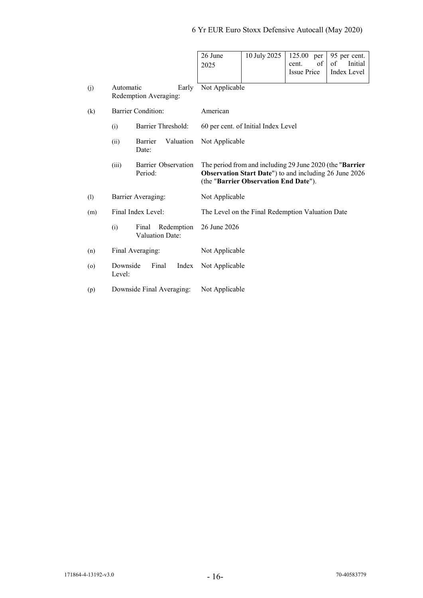|         |                    |                                        | 26 June<br>2025                                  | 10 July 2025                                                                                                                                                 | 125.00<br>per<br>of<br>cent.<br><b>Issue Price</b> | 95 per cent.<br>of<br>Initial<br><b>Index Level</b> |  |  |
|---------|--------------------|----------------------------------------|--------------------------------------------------|--------------------------------------------------------------------------------------------------------------------------------------------------------------|----------------------------------------------------|-----------------------------------------------------|--|--|
| (j)     | Automatic          | Early<br>Redemption Averaging:         |                                                  | Not Applicable                                                                                                                                               |                                                    |                                                     |  |  |
| (k)     |                    | <b>Barrier Condition:</b>              | American                                         |                                                                                                                                                              |                                                    |                                                     |  |  |
|         | (i)                | Barrier Threshold:                     |                                                  | 60 per cent. of Initial Index Level                                                                                                                          |                                                    |                                                     |  |  |
|         | (ii)               | Valuation<br>Barrier<br>Date:          | Not Applicable                                   |                                                                                                                                                              |                                                    |                                                     |  |  |
|         | (iii)              | Barrier Observation<br>Period:         |                                                  | The period from and including 29 June 2020 (the "Barrier"<br>Observation Start Date") to and including 26 June 2026<br>(the "Barrier Observation End Date"). |                                                    |                                                     |  |  |
| (1)     |                    | Barrier Averaging:                     | Not Applicable                                   |                                                                                                                                                              |                                                    |                                                     |  |  |
| (m)     |                    | Final Index Level:                     | The Level on the Final Redemption Valuation Date |                                                                                                                                                              |                                                    |                                                     |  |  |
|         | (i)                | Final<br>Redemption<br>Valuation Date: | 26 June 2026                                     |                                                                                                                                                              |                                                    |                                                     |  |  |
| (n)     |                    | Final Averaging:                       | Not Applicable                                   |                                                                                                                                                              |                                                    |                                                     |  |  |
| $\circ$ | Downside<br>Level: | Final<br>Index                         | Not Applicable                                   |                                                                                                                                                              |                                                    |                                                     |  |  |
| (p)     |                    | Downside Final Averaging:              | Not Applicable                                   |                                                                                                                                                              |                                                    |                                                     |  |  |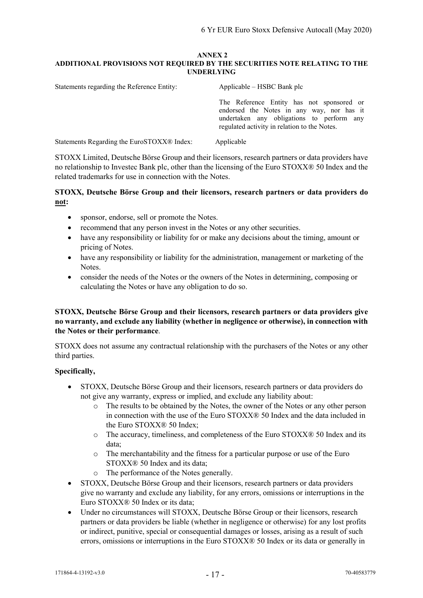#### **ANNEX 2 ADDITIONAL PROVISIONS NOT REQUIRED BY THE SECURITIES NOTE RELATING TO THE UNDERLYING**

| Statements regarding the Reference Entity: | Applicable – HSBC Bank plc                                                                                                                                                          |  |  |  |
|--------------------------------------------|-------------------------------------------------------------------------------------------------------------------------------------------------------------------------------------|--|--|--|
|                                            | The Reference Entity has not sponsored or<br>endorsed the Notes in any way, nor has it<br>undertaken any obligations to perform any<br>regulated activity in relation to the Notes. |  |  |  |
| Statements Regarding the EuroSTOXX® Index: | Applicable                                                                                                                                                                          |  |  |  |

STOXX Limited, Deutsche Börse Group and their licensors, research partners or data providers have no relationship to Investec Bank plc, other than the licensing of the Euro STOXX® 50 Index and the related trademarks for use in connection with the Notes.

## **STOXX, Deutsche Börse Group and their licensors, research partners or data providers do not:**

- sponsor, endorse, sell or promote the Notes.
- recommend that any person invest in the Notes or any other securities.
- have any responsibility or liability for or make any decisions about the timing, amount or pricing of Notes.
- have any responsibility or liability for the administration, management or marketing of the Notes.
- consider the needs of the Notes or the owners of the Notes in determining, composing or calculating the Notes or have any obligation to do so.

## **STOXX, Deutsche Börse Group and their licensors, research partners or data providers give no warranty, and exclude any liability (whether in negligence or otherwise), in connection with the Notes or their performance**.

STOXX does not assume any contractual relationship with the purchasers of the Notes or any other third parties.

## **Specifically,**

- STOXX, Deutsche Börse Group and their licensors, research partners or data providers do not give any warranty, express or implied, and exclude any liability about:
	- o The results to be obtained by the Notes, the owner of the Notes or any other person in connection with the use of the Euro STOXX® 50 Index and the data included in the Euro STOXX® 50 Index;
	- o The accuracy, timeliness, and completeness of the Euro STOXX® 50 Index and its data;
	- o The merchantability and the fitness for a particular purpose or use of the Euro STOXX® 50 Index and its data;
	- o The performance of the Notes generally.
- STOXX, Deutsche Börse Group and their licensors, research partners or data providers give no warranty and exclude any liability, for any errors, omissions or interruptions in the Euro STOXX® 50 Index or its data;
- Under no circumstances will STOXX, Deutsche Börse Group or their licensors, research partners or data providers be liable (whether in negligence or otherwise) for any lost profits or indirect, punitive, special or consequential damages or losses, arising as a result of such errors, omissions or interruptions in the Euro STOXX® 50 Index or its data or generally in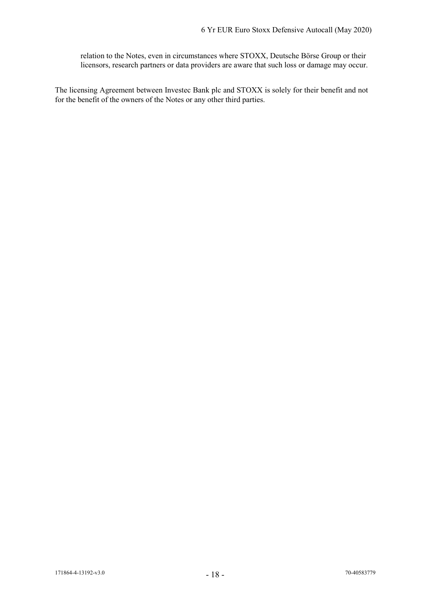relation to the Notes, even in circumstances where STOXX, Deutsche Börse Group or their licensors, research partners or data providers are aware that such loss or damage may occur.

The licensing Agreement between Investec Bank plc and STOXX is solely for their benefit and not for the benefit of the owners of the Notes or any other third parties.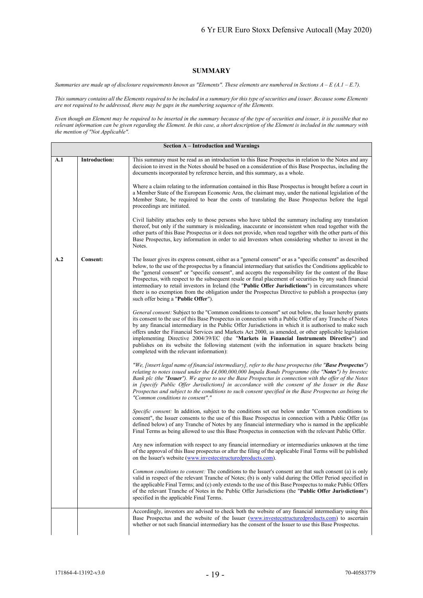#### **SUMMARY**

*Summaries are made up of disclosure requirements known as "Elements". These elements are numbered in Sections A – E (A.1 – E.7).*

*This summary contains all the Elements required to be included in a summary for this type of securities and issuer. Because some Elements are not required to be addressed, there may be gaps in the numbering sequence of the Elements.*

*Even though an Element may be required to be inserted in the summary because of the type of securities and issuer, it is possible that no relevant information can be given regarding the Element. In this case, a short description of the Element is included in the summary with the mention of "Not Applicable".*

|     | Section A – Introduction and Warnings |                                                                                                                                                                                                                                                                                                                                                                                                                                                                                                                                                                                                                                                                                                            |  |  |  |
|-----|---------------------------------------|------------------------------------------------------------------------------------------------------------------------------------------------------------------------------------------------------------------------------------------------------------------------------------------------------------------------------------------------------------------------------------------------------------------------------------------------------------------------------------------------------------------------------------------------------------------------------------------------------------------------------------------------------------------------------------------------------------|--|--|--|
| A.1 | Introduction:                         | This summary must be read as an introduction to this Base Prospectus in relation to the Notes and any<br>decision to invest in the Notes should be based on a consideration of this Base Prospectus, including the<br>documents incorporated by reference herein, and this summary, as a whole.                                                                                                                                                                                                                                                                                                                                                                                                            |  |  |  |
|     |                                       | Where a claim relating to the information contained in this Base Prospectus is brought before a court in<br>a Member State of the European Economic Area, the claimant may, under the national legislation of the<br>Member State, be required to bear the costs of translating the Base Prospectus before the legal<br>proceedings are initiated.                                                                                                                                                                                                                                                                                                                                                         |  |  |  |
|     |                                       | Civil liability attaches only to those persons who have tabled the summary including any translation<br>thereof, but only if the summary is misleading, inaccurate or inconsistent when read together with the<br>other parts of this Base Prospectus or it does not provide, when read together with the other parts of this<br>Base Prospectus, key information in order to aid Investors when considering whether to invest in the<br>Notes.                                                                                                                                                                                                                                                            |  |  |  |
| A.2 | Consent:                              | The Issuer gives its express consent, either as a "general consent" or as a "specific consent" as described<br>below, to the use of the prospectus by a financial intermediary that satisfies the Conditions applicable to<br>the "general consent" or "specific consent", and accepts the responsibility for the content of the Base<br>Prospectus, with respect to the subsequent resale or final placement of securities by any such financial<br>intermediary to retail investors in Ireland (the "Public Offer Jurisdictions") in circumstances where<br>there is no exemption from the obligation under the Prospectus Directive to publish a prospectus (any<br>such offer being a "Public Offer"). |  |  |  |
|     |                                       | General consent: Subject to the "Common conditions to consent" set out below, the Issuer hereby grants<br>its consent to the use of this Base Prospectus in connection with a Public Offer of any Tranche of Notes<br>by any financial intermediary in the Public Offer Jurisdictions in which it is authorised to make such<br>offers under the Financial Services and Markets Act 2000, as amended, or other applicable legislation<br>implementing Directive 2004/39/EC (the "Markets in Financial Instruments Directive") and<br>publishes on its website the following statement (with the information in square brackets being<br>completed with the relevant information):                          |  |  |  |
|     |                                       | "We, [insert legal name of financial intermediary], refer to the base prospectus (the "Base Prospectus")<br>relating to notes issued under the £4,000,000,000 Impala Bonds Programme (the "Notes") by Investec<br>Bank plc (the "Issuer"). We agree to use the Base Prospectus in connection with the offer of the Notes<br>in (specify Public Offer Jurisdictions) in accordance with the consent of the Issuer in the Base<br>Prospectus and subject to the conditions to such consent specified in the Base Prospectus as being the<br>"Common conditions to consent"."                                                                                                                                 |  |  |  |
|     |                                       | Specific consent: In addition, subject to the conditions set out below under "Common conditions to<br>consent", the Issuer consents to the use of this Base Prospectus in connection with a Public Offer (as<br>defined below) of any Tranche of Notes by any financial intermediary who is named in the applicable<br>Final Terms as being allowed to use this Base Prospectus in connection with the relevant Public Offer.                                                                                                                                                                                                                                                                              |  |  |  |
|     |                                       | Any new information with respect to any financial intermediary or intermediaries unknown at the time<br>of the approval of this Base prospectus or after the filing of the applicable Final Terms will be published<br>on the Issuer's website (www.investecstructuredproducts.com).                                                                                                                                                                                                                                                                                                                                                                                                                       |  |  |  |
|     |                                       | Common conditions to consent: The conditions to the Issuer's consent are that such consent (a) is only<br>valid in respect of the relevant Tranche of Notes; (b) is only valid during the Offer Period specified in<br>the applicable Final Terms; and (c) only extends to the use of this Base Prospectus to make Public Offers<br>of the relevant Tranche of Notes in the Public Offer Jurisdictions (the "Public Offer Jurisdictions")<br>specified in the applicable Final Terms.                                                                                                                                                                                                                      |  |  |  |
|     |                                       | Accordingly, investors are advised to check both the website of any financial intermediary using this<br>Base Prospectus and the website of the Issuer (www.investecstructuredproducts.com) to ascertain<br>whether or not such financial intermediary has the consent of the Issuer to use this Base Prospectus.                                                                                                                                                                                                                                                                                                                                                                                          |  |  |  |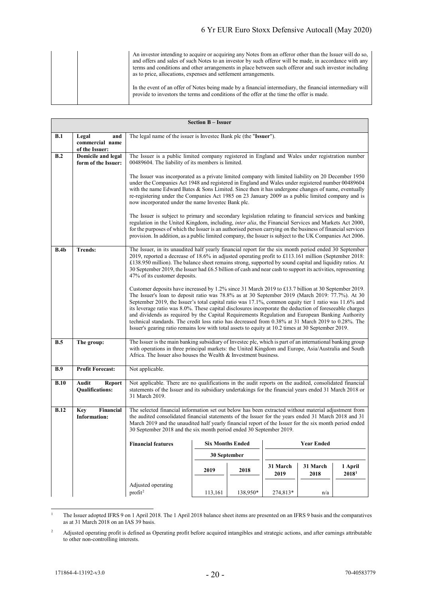|  | An investor intending to acquire or acquiring any Notes from an offeror other than the Issuer will do so,<br>and offers and sales of such Notes to an investor by such offeror will be made, in accordance with any<br>terms and conditions and other arrangements in place between such offeror and such investor including<br>as to price, allocations, expenses and settlement arrangements. |
|--|-------------------------------------------------------------------------------------------------------------------------------------------------------------------------------------------------------------------------------------------------------------------------------------------------------------------------------------------------------------------------------------------------|
|  | In the event of an offer of Notes being made by a financial intermediary, the financial intermediary will<br>provide to investors the terms and conditions of the offer at the time the offer is made.                                                                                                                                                                                          |

|             |                                                   |                                                                                                                                                                                                                                                                                                                                                                                                                                                                                                                                                                                                                                                                                                                                          | <b>Section B - Issuer</b> |              |                  |                  |                              |
|-------------|---------------------------------------------------|------------------------------------------------------------------------------------------------------------------------------------------------------------------------------------------------------------------------------------------------------------------------------------------------------------------------------------------------------------------------------------------------------------------------------------------------------------------------------------------------------------------------------------------------------------------------------------------------------------------------------------------------------------------------------------------------------------------------------------------|---------------------------|--------------|------------------|------------------|------------------------------|
| B.1         | Legal<br>and<br>commercial name<br>of the Issuer: | The legal name of the issuer is Investec Bank plc (the "Issuer").                                                                                                                                                                                                                                                                                                                                                                                                                                                                                                                                                                                                                                                                        |                           |              |                  |                  |                              |
| B.2         | <b>Domicile and legal</b><br>form of the Issuer:  | The Issuer is a public limited company registered in England and Wales under registration number<br>00489604. The liability of its members is limited.                                                                                                                                                                                                                                                                                                                                                                                                                                                                                                                                                                                   |                           |              |                  |                  |                              |
|             |                                                   | The Issuer was incorporated as a private limited company with limited liability on 20 December 1950<br>under the Companies Act 1948 and registered in England and Wales under registered number 00489604<br>with the name Edward Bates & Sons Limited. Since then it has undergone changes of name, eventually<br>re-registering under the Companies Act 1985 on 23 January 2009 as a public limited company and is<br>now incorporated under the name Investec Bank plc.                                                                                                                                                                                                                                                                |                           |              |                  |                  |                              |
|             |                                                   | The Issuer is subject to primary and secondary legislation relating to financial services and banking<br>regulation in the United Kingdom, including, <i>inter alia</i> , the Financial Services and Markets Act 2000,<br>for the purposes of which the Issuer is an authorised person carrying on the business of financial services<br>provision. In addition, as a public limited company, the Issuer is subject to the UK Companies Act 2006.                                                                                                                                                                                                                                                                                        |                           |              |                  |                  |                              |
| B.4b        | <b>Trends:</b>                                    | The Issuer, in its unaudited half yearly financial report for the six month period ended 30 September<br>2019, reported a decrease of 18.6% in adjusted operating profit to £113.161 million (September 2018:<br>£138.950 million). The balance sheet remains strong, supported by sound capital and liquidity ratios. At<br>30 September 2019, the Issuer had £6.5 billion of cash and near cash to support its activities, representing<br>47% of its customer deposits.                                                                                                                                                                                                                                                               |                           |              |                  |                  |                              |
|             |                                                   | Customer deposits have increased by 1.2% since 31 March 2019 to £13.7 billion at 30 September 2019.<br>The Issuer's loan to deposit ratio was 78.8% as at 30 September 2019 (March 2019: 77.7%). At 30<br>September 2019, the Issuer's total capital ratio was 17.1%, common equity tier 1 ratio was 11.6% and<br>its leverage ratio was 8.0%. These capital disclosures incorporate the deduction of foreseeable charges<br>and dividends as required by the Capital Requirements Regulation and European Banking Authority<br>technical standards. The credit loss ratio has decreased from 0.38% at 31 March 2019 to 0.28%. The<br>Issuer's gearing ratio remains low with total assets to equity at 10.2 times at 30 September 2019. |                           |              |                  |                  |                              |
| B.5         | The group:                                        | The Issuer is the main banking subsidiary of Investee plc, which is part of an international banking group<br>with operations in three principal markets: the United Kingdom and Europe, Asia/Australia and South<br>Africa. The Issuer also houses the Wealth & Investment business.                                                                                                                                                                                                                                                                                                                                                                                                                                                    |                           |              |                  |                  |                              |
| <b>B.9</b>  | <b>Profit Forecast:</b>                           | Not applicable.                                                                                                                                                                                                                                                                                                                                                                                                                                                                                                                                                                                                                                                                                                                          |                           |              |                  |                  |                              |
| B.10        | Audit<br><b>Report</b><br><b>Qualifications:</b>  | Not applicable. There are no qualifications in the audit reports on the audited, consolidated financial<br>statements of the Issuer and its subsidiary undertakings for the financial years ended 31 March 2018 or<br>31 March 2019.                                                                                                                                                                                                                                                                                                                                                                                                                                                                                                     |                           |              |                  |                  |                              |
| <b>B.12</b> | <b>Key</b><br>Financial<br><b>Information:</b>    | The selected financial information set out below has been extracted without material adjustment from<br>the audited consolidated financial statements of the Issuer for the years ended 31 March 2018 and 31<br>March 2019 and the unaudited half yearly financial report of the Issuer for the six month period ended<br>30 September 2018 and the six month period ended 30 September 2019.                                                                                                                                                                                                                                                                                                                                            |                           |              |                  |                  |                              |
|             |                                                   | <b>Six Months Ended</b><br><b>Year Ended</b><br><b>Financial features</b>                                                                                                                                                                                                                                                                                                                                                                                                                                                                                                                                                                                                                                                                |                           |              |                  |                  |                              |
|             |                                                   |                                                                                                                                                                                                                                                                                                                                                                                                                                                                                                                                                                                                                                                                                                                                          |                           | 30 September |                  |                  |                              |
|             |                                                   |                                                                                                                                                                                                                                                                                                                                                                                                                                                                                                                                                                                                                                                                                                                                          | 2019                      | 2018         | 31 March<br>2019 | 31 March<br>2018 | 1 April<br>2018 <sup>1</sup> |
|             |                                                   | Adjusted operating<br>profit <sup>2</sup>                                                                                                                                                                                                                                                                                                                                                                                                                                                                                                                                                                                                                                                                                                | 113,161                   | 138,950*     | 274,813*         | n/a              |                              |

<span id="page-19-0"></span>The Issuer adopted IFRS 9 on 1 April 2018. The 1 April 2018 balance sheet items are presented on an IFRS 9 basis and the comparatives as at 31 March 2018 on an IAS 39 basis.

<span id="page-19-1"></span> $2^2$  Adjusted operating profit is defined as Operating profit before acquired intangibles and strategic actions, and after earnings attributable to other non-controlling interests.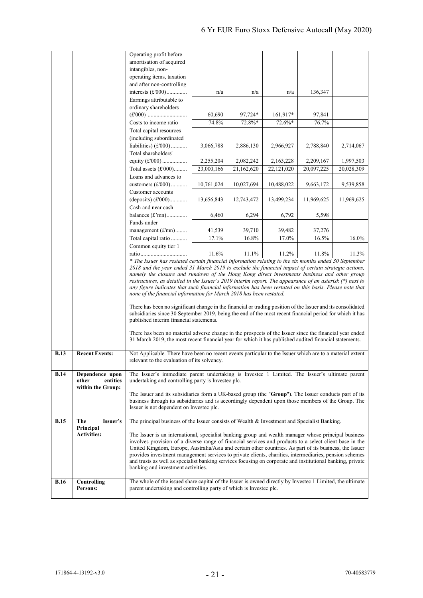|             |                                                           | amortisation of acquired<br>intangibles, non-<br>operating items, taxation<br>and after non-controlling<br>interests $(\text{\pounds}000)$<br>Earnings attributable to<br>ordinary shareholders                                                                                                                                                                                                                                                                                                                                                                                                                                                                                                                                                                                                                                                                                                                                                                                            | n/a             | n/a               | n/a                | 136,347         |            |
|-------------|-----------------------------------------------------------|--------------------------------------------------------------------------------------------------------------------------------------------------------------------------------------------------------------------------------------------------------------------------------------------------------------------------------------------------------------------------------------------------------------------------------------------------------------------------------------------------------------------------------------------------------------------------------------------------------------------------------------------------------------------------------------------------------------------------------------------------------------------------------------------------------------------------------------------------------------------------------------------------------------------------------------------------------------------------------------------|-----------------|-------------------|--------------------|-----------------|------------|
|             |                                                           | Costs to income ratio                                                                                                                                                                                                                                                                                                                                                                                                                                                                                                                                                                                                                                                                                                                                                                                                                                                                                                                                                                      | 60,690<br>74.8% | 97,724*<br>72.8%* | 161,917*<br>72.6%* | 97,841<br>76.7% |            |
|             |                                                           | Total capital resources                                                                                                                                                                                                                                                                                                                                                                                                                                                                                                                                                                                                                                                                                                                                                                                                                                                                                                                                                                    |                 |                   |                    |                 |            |
|             |                                                           | (including subordinated                                                                                                                                                                                                                                                                                                                                                                                                                                                                                                                                                                                                                                                                                                                                                                                                                                                                                                                                                                    |                 |                   |                    |                 |            |
|             |                                                           | liabilities) $(E'000)$                                                                                                                                                                                                                                                                                                                                                                                                                                                                                                                                                                                                                                                                                                                                                                                                                                                                                                                                                                     | 3,066,788       | 2,886,130         | 2,966,927          | 2,788,840       | 2,714,067  |
|             |                                                           | Total shareholders'<br>equity $(f000)$                                                                                                                                                                                                                                                                                                                                                                                                                                                                                                                                                                                                                                                                                                                                                                                                                                                                                                                                                     | 2,255,204       | 2,082,242         | 2,163,228          | 2,209,167       | 1,997,503  |
|             |                                                           | Total assets $(\text{\pounds}000)$                                                                                                                                                                                                                                                                                                                                                                                                                                                                                                                                                                                                                                                                                                                                                                                                                                                                                                                                                         | 23,000,166      | 21,162,620        | 22, 121, 020       | 20,097,225      | 20,028,309 |
|             |                                                           | Loans and advances to                                                                                                                                                                                                                                                                                                                                                                                                                                                                                                                                                                                                                                                                                                                                                                                                                                                                                                                                                                      |                 |                   |                    |                 |            |
|             |                                                           | customers $(\text{\pounds}000)$                                                                                                                                                                                                                                                                                                                                                                                                                                                                                                                                                                                                                                                                                                                                                                                                                                                                                                                                                            | 10,761,024      | 10,027,694        | 10,488,022         | 9,663,172       | 9,539,858  |
|             |                                                           | Customer accounts                                                                                                                                                                                                                                                                                                                                                                                                                                                                                                                                                                                                                                                                                                                                                                                                                                                                                                                                                                          |                 |                   |                    |                 |            |
|             |                                                           | (deposits) $(f000)$<br>Cash and near cash                                                                                                                                                                                                                                                                                                                                                                                                                                                                                                                                                                                                                                                                                                                                                                                                                                                                                                                                                  | 13,656,843      | 12,743,472        | 13,499,234         | 11,969,625      | 11,969,625 |
|             |                                                           | balances $(f\text{'mn})$                                                                                                                                                                                                                                                                                                                                                                                                                                                                                                                                                                                                                                                                                                                                                                                                                                                                                                                                                                   | 6,460           | 6,294             | 6,792              | 5,598           |            |
|             |                                                           | Funds under                                                                                                                                                                                                                                                                                                                                                                                                                                                                                                                                                                                                                                                                                                                                                                                                                                                                                                                                                                                |                 |                   |                    |                 |            |
|             |                                                           | management (£'mn)                                                                                                                                                                                                                                                                                                                                                                                                                                                                                                                                                                                                                                                                                                                                                                                                                                                                                                                                                                          | 41,539          | 39,710            | 39,482             | 37,276          |            |
|             |                                                           | Total capital ratio<br>Common equity tier 1                                                                                                                                                                                                                                                                                                                                                                                                                                                                                                                                                                                                                                                                                                                                                                                                                                                                                                                                                | 17.1%           | 16.8%             | 17.0%              | 16.5%           | 16.0%      |
|             |                                                           |                                                                                                                                                                                                                                                                                                                                                                                                                                                                                                                                                                                                                                                                                                                                                                                                                                                                                                                                                                                            | 11.6%           | 11.1%             | 11.2%              | 11.8%           | 11.3%      |
|             |                                                           | * The Issuer has restated certain financial information relating to the six months ended 30 September<br>2018 and the year ended 31 March 2019 to exclude the financial impact of certain strategic actions,<br>namely the closure and rundown of the Hong Kong direct investments business and other group<br>restructures, as detailed in the Issuer's 2019 interim report. The appearance of an asterisk (*) next to<br>any figure indicates that such financial information has been restated on this basis. Please note that<br>none of the financial information for March 2018 has been restated.<br>There has been no significant change in the financial or trading position of the Issuer and its consolidated<br>subsidiaries since 30 September 2019, being the end of the most recent financial period for which it has<br>published interim financial statements.<br>There has been no material adverse change in the prospects of the Issuer since the financial year ended |                 |                   |                    |                 |            |
|             |                                                           | 31 March 2019, the most recent financial year for which it has published audited financial statements.                                                                                                                                                                                                                                                                                                                                                                                                                                                                                                                                                                                                                                                                                                                                                                                                                                                                                     |                 |                   |                    |                 |            |
| <b>B.13</b> | <b>Recent Events:</b>                                     | Not Applicable. There have been no recent events particular to the Issuer which are to a material extent<br>relevant to the evaluation of its solvency.                                                                                                                                                                                                                                                                                                                                                                                                                                                                                                                                                                                                                                                                                                                                                                                                                                    |                 |                   |                    |                 |            |
| <b>B.14</b> | Dependence upon<br>entities<br>other<br>within the Group: | The Issuer's immediate parent undertaking is Invested 1 Limited. The Issuer's ultimate parent<br>undertaking and controlling party is Invested plc.                                                                                                                                                                                                                                                                                                                                                                                                                                                                                                                                                                                                                                                                                                                                                                                                                                        |                 |                   |                    |                 |            |
|             |                                                           | The Issuer and its subsidiaries form a UK-based group (the "Group"). The Issuer conducts part of its<br>business through its subsidiaries and is accordingly dependent upon those members of the Group. The<br>Issuer is not dependent on Invested plc.                                                                                                                                                                                                                                                                                                                                                                                                                                                                                                                                                                                                                                                                                                                                    |                 |                   |                    |                 |            |
| <b>B.15</b> | The<br>Issuer's<br>Principal                              | The principal business of the Issuer consists of Wealth & Investment and Specialist Banking.                                                                                                                                                                                                                                                                                                                                                                                                                                                                                                                                                                                                                                                                                                                                                                                                                                                                                               |                 |                   |                    |                 |            |
|             | <b>Activities:</b>                                        | The Issuer is an international, specialist banking group and wealth manager whose principal business<br>involves provision of a diverse range of financial services and products to a select client base in the<br>United Kingdom, Europe, Australia/Asia and certain other countries. As part of its business, the Issuer<br>provides investment management services to private clients, charities, intermediaries, pension schemes<br>and trusts as well as specialist banking services focusing on corporate and institutional banking, private<br>banking and investment activities.                                                                                                                                                                                                                                                                                                                                                                                                   |                 |                   |                    |                 |            |
| <b>B.16</b> | Controlling<br>Persons:                                   | The whole of the issued share capital of the Issuer is owned directly by Invested 1 Limited, the ultimate<br>parent undertaking and controlling party of which is Invested plc.                                                                                                                                                                                                                                                                                                                                                                                                                                                                                                                                                                                                                                                                                                                                                                                                            |                 |                   |                    |                 |            |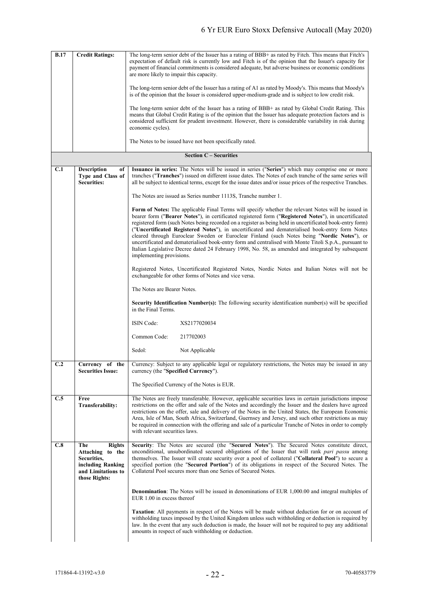| <b>B.17</b> | <b>Credit Ratings:</b>                                                                                                 | The long-term senior debt of the Issuer has a rating of BBB+ as rated by Fitch. This means that Fitch's<br>expectation of default risk is currently low and Fitch is of the opinion that the Issuer's capacity for<br>payment of financial commitments is considered adequate, but adverse business or economic conditions<br>are more likely to impair this capacity.                                                                                                                                                                                                                                                                                                                                                                                                   |  |  |  |
|-------------|------------------------------------------------------------------------------------------------------------------------|--------------------------------------------------------------------------------------------------------------------------------------------------------------------------------------------------------------------------------------------------------------------------------------------------------------------------------------------------------------------------------------------------------------------------------------------------------------------------------------------------------------------------------------------------------------------------------------------------------------------------------------------------------------------------------------------------------------------------------------------------------------------------|--|--|--|
|             |                                                                                                                        | The long-term senior debt of the Issuer has a rating of A1 as rated by Moody's. This means that Moody's<br>is of the opinion that the Issuer is considered upper-medium-grade and is subject to low credit risk.                                                                                                                                                                                                                                                                                                                                                                                                                                                                                                                                                         |  |  |  |
|             |                                                                                                                        | The long-term senior debt of the Issuer has a rating of BBB+ as rated by Global Credit Rating. This<br>means that Global Credit Rating is of the opinion that the Issuer has adequate protection factors and is<br>considered sufficient for prudent investment. However, there is considerable variability in risk during<br>economic cycles).                                                                                                                                                                                                                                                                                                                                                                                                                          |  |  |  |
|             |                                                                                                                        | The Notes to be issued have not been specifically rated.                                                                                                                                                                                                                                                                                                                                                                                                                                                                                                                                                                                                                                                                                                                 |  |  |  |
|             |                                                                                                                        | <b>Section C - Securities</b>                                                                                                                                                                                                                                                                                                                                                                                                                                                                                                                                                                                                                                                                                                                                            |  |  |  |
| C.1         | <b>Description</b><br>of<br>Type and Class of<br><b>Securities:</b>                                                    | Issuance in series: The Notes will be issued in series ("Series") which may comprise one or more<br>tranches ("Tranches") issued on different issue dates. The Notes of each tranche of the same series will<br>all be subject to identical terms, except for the issue dates and/or issue prices of the respective Tranches.                                                                                                                                                                                                                                                                                                                                                                                                                                            |  |  |  |
|             |                                                                                                                        | The Notes are issued as Series number 1113S, Tranche number 1.                                                                                                                                                                                                                                                                                                                                                                                                                                                                                                                                                                                                                                                                                                           |  |  |  |
|             |                                                                                                                        | Form of Notes: The applicable Final Terms will specify whether the relevant Notes will be issued in<br>bearer form ("Bearer Notes"), in certificated registered form ("Registered Notes"), in uncertificated<br>registered form (such Notes being recorded on a register as being held in uncertificated book-entry form)<br>("Uncertificated Registered Notes"), in uncertificated and dematerialised book-entry form Notes<br>cleared through Euroclear Sweden or Euroclear Finland (such Notes being "Nordic Notes"), or<br>uncertificated and dematerialised book-entry form and centralised with Monte Titoli S.p.A., pursuant to<br>Italian Legislative Decree dated 24 February 1998, No. 58, as amended and integrated by subsequent<br>implementing provisions. |  |  |  |
|             |                                                                                                                        | Registered Notes, Uncertificated Registered Notes, Nordic Notes and Italian Notes will not be<br>exchangeable for other forms of Notes and vice versa.                                                                                                                                                                                                                                                                                                                                                                                                                                                                                                                                                                                                                   |  |  |  |
|             |                                                                                                                        | The Notes are Bearer Notes.                                                                                                                                                                                                                                                                                                                                                                                                                                                                                                                                                                                                                                                                                                                                              |  |  |  |
|             |                                                                                                                        | <b>Security Identification Number(s):</b> The following security identification number(s) will be specified<br>in the Final Terms.                                                                                                                                                                                                                                                                                                                                                                                                                                                                                                                                                                                                                                       |  |  |  |
|             |                                                                                                                        | ISIN Code:<br>XS2177020034                                                                                                                                                                                                                                                                                                                                                                                                                                                                                                                                                                                                                                                                                                                                               |  |  |  |
|             |                                                                                                                        | Common Code:<br>217702003                                                                                                                                                                                                                                                                                                                                                                                                                                                                                                                                                                                                                                                                                                                                                |  |  |  |
|             |                                                                                                                        | Sedol:<br>Not Applicable                                                                                                                                                                                                                                                                                                                                                                                                                                                                                                                                                                                                                                                                                                                                                 |  |  |  |
| C.2         | Currency of the<br><b>Securities Issue:</b>                                                                            | Currency: Subject to any applicable legal or regulatory restrictions, the Notes may be issued in any<br>currency (the "Specified Currency").                                                                                                                                                                                                                                                                                                                                                                                                                                                                                                                                                                                                                             |  |  |  |
|             |                                                                                                                        | The Specified Currency of the Notes is EUR.                                                                                                                                                                                                                                                                                                                                                                                                                                                                                                                                                                                                                                                                                                                              |  |  |  |
| C.5         | Free<br><b>Transferability:</b>                                                                                        | The Notes are freely transferable. However, applicable securities laws in certain jurisdictions impose<br>restrictions on the offer and sale of the Notes and accordingly the Issuer and the dealers have agreed<br>restrictions on the offer, sale and delivery of the Notes in the United States, the European Economic<br>Area, Isle of Man, South Africa, Switzerland, Guernsey and Jersey, and such other restrictions as may<br>be required in connection with the offering and sale of a particular Tranche of Notes in order to comply<br>with relevant securities laws.                                                                                                                                                                                         |  |  |  |
| C.8         | The<br><b>Rights</b><br>Attaching<br>to the<br>Securities,<br>including Ranking<br>and Limitations to<br>those Rights: | Security: The Notes are secured (the "Secured Notes"). The Secured Notes constitute direct,<br>unconditional, unsubordinated secured obligations of the Issuer that will rank pari passu among<br>themselves. The Issuer will create security over a pool of collateral ("Collateral Pool") to secure a<br>specified portion (the "Secured Portion") of its obligations in respect of the Secured Notes. The<br>Collateral Pool secures more than one Series of Secured Notes.                                                                                                                                                                                                                                                                                           |  |  |  |
|             |                                                                                                                        | <b>Denomination:</b> The Notes will be issued in denominations of EUR 1,000.00 and integral multiples of<br>EUR 1.00 in excess thereof                                                                                                                                                                                                                                                                                                                                                                                                                                                                                                                                                                                                                                   |  |  |  |
|             |                                                                                                                        | Taxation: All payments in respect of the Notes will be made without deduction for or on account of<br>withholding taxes imposed by the United Kingdom unless such withholding or deduction is required by<br>law. In the event that any such deduction is made, the Issuer will not be required to pay any additional<br>amounts in respect of such withholding or deduction.                                                                                                                                                                                                                                                                                                                                                                                            |  |  |  |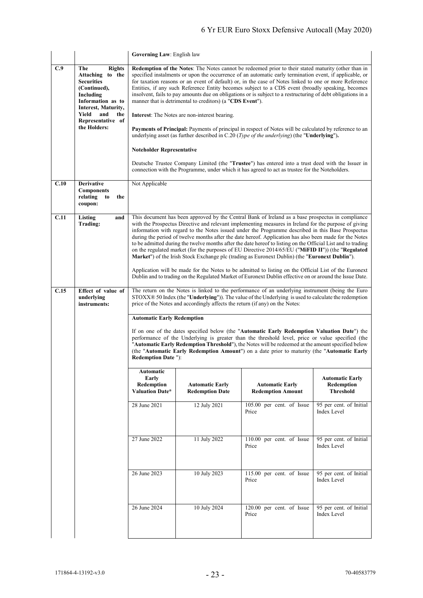|      |                                                                                                                                        | Governing Law: English law                                                                                                                                                                                                                                                                                                                                                                                                                                                                                                                                                                               |                                                  |                                                                                                                                                                                                                                                                                                                                                                                                                                                                                                                                                                                                                                                                                                                                                                                                                                                                                                                                                                       |                                                          |  |
|------|----------------------------------------------------------------------------------------------------------------------------------------|----------------------------------------------------------------------------------------------------------------------------------------------------------------------------------------------------------------------------------------------------------------------------------------------------------------------------------------------------------------------------------------------------------------------------------------------------------------------------------------------------------------------------------------------------------------------------------------------------------|--------------------------------------------------|-----------------------------------------------------------------------------------------------------------------------------------------------------------------------------------------------------------------------------------------------------------------------------------------------------------------------------------------------------------------------------------------------------------------------------------------------------------------------------------------------------------------------------------------------------------------------------------------------------------------------------------------------------------------------------------------------------------------------------------------------------------------------------------------------------------------------------------------------------------------------------------------------------------------------------------------------------------------------|----------------------------------------------------------|--|
| C.9  | <b>Rights</b><br>The<br>Attaching to the<br><b>Securities</b><br>(Continued),<br>Including<br>Information as to<br>Interest, Maturity, | Redemption of the Notes: The Notes cannot be redeemed prior to their stated maturity (other than in<br>specified instalments or upon the occurrence of an automatic early termination event, if applicable, or<br>for taxation reasons or an event of default) or, in the case of Notes linked to one or more Reference<br>Entities, if any such Reference Entity becomes subject to a CDS event (broadly speaking, becomes<br>insolvent, fails to pay amounts due on obligations or is subject to a restructuring of debt obligations in a<br>manner that is detrimental to creditors) (a "CDS Event"). |                                                  |                                                                                                                                                                                                                                                                                                                                                                                                                                                                                                                                                                                                                                                                                                                                                                                                                                                                                                                                                                       |                                                          |  |
|      | Yield<br>and<br>the<br>Representative of                                                                                               | <b>Interest:</b> The Notes are non-interest bearing.                                                                                                                                                                                                                                                                                                                                                                                                                                                                                                                                                     |                                                  |                                                                                                                                                                                                                                                                                                                                                                                                                                                                                                                                                                                                                                                                                                                                                                                                                                                                                                                                                                       |                                                          |  |
|      | the Holders:                                                                                                                           | <b>Payments of Principal:</b> Payments of principal in respect of Notes will be calculated by reference to an<br>underlying asset (as further described in C.20 ( <i>Type of the underlying</i> ) (the "Underlying").                                                                                                                                                                                                                                                                                                                                                                                    |                                                  |                                                                                                                                                                                                                                                                                                                                                                                                                                                                                                                                                                                                                                                                                                                                                                                                                                                                                                                                                                       |                                                          |  |
|      |                                                                                                                                        | <b>Noteholder Representative</b>                                                                                                                                                                                                                                                                                                                                                                                                                                                                                                                                                                         |                                                  |                                                                                                                                                                                                                                                                                                                                                                                                                                                                                                                                                                                                                                                                                                                                                                                                                                                                                                                                                                       |                                                          |  |
|      |                                                                                                                                        | Deutsche Trustee Company Limited (the "Trustee") has entered into a trust deed with the Issuer in<br>connection with the Programme, under which it has agreed to act as trustee for the Noteholders.                                                                                                                                                                                                                                                                                                                                                                                                     |                                                  |                                                                                                                                                                                                                                                                                                                                                                                                                                                                                                                                                                                                                                                                                                                                                                                                                                                                                                                                                                       |                                                          |  |
| C.10 | <b>Derivative</b><br><b>Components</b><br>relating<br>the<br>to<br>coupon:                                                             | Not Applicable                                                                                                                                                                                                                                                                                                                                                                                                                                                                                                                                                                                           |                                                  |                                                                                                                                                                                                                                                                                                                                                                                                                                                                                                                                                                                                                                                                                                                                                                                                                                                                                                                                                                       |                                                          |  |
| C.11 | Listing<br>and<br>Trading:                                                                                                             |                                                                                                                                                                                                                                                                                                                                                                                                                                                                                                                                                                                                          |                                                  | This document has been approved by the Central Bank of Ireland as a base prospectus in compliance<br>with the Prospectus Directive and relevant implementing measures in Ireland for the purpose of giving<br>information with regard to the Notes issued under the Programme described in this Base Prospectus<br>during the period of twelve months after the date hereof. Application has also been made for the Notes<br>to be admitted during the twelve months after the date hereof to listing on the Official List and to trading<br>on the regulated market (for the purposes of EU Directive 2014/65/EU ("MiFID II")) (the "Regulated<br>Market") of the Irish Stock Exchange plc (trading as Euronext Dublin) (the "Euronext Dublin").<br>Application will be made for the Notes to be admitted to listing on the Official List of the Euronext<br>Dublin and to trading on the Regulated Market of Euronext Dublin effective on or around the Issue Date. |                                                          |  |
| C.15 | Effect of value of                                                                                                                     | The return on the Notes is linked to the performance of an underlying instrument (being the Euro                                                                                                                                                                                                                                                                                                                                                                                                                                                                                                         |                                                  |                                                                                                                                                                                                                                                                                                                                                                                                                                                                                                                                                                                                                                                                                                                                                                                                                                                                                                                                                                       |                                                          |  |
|      | underlying<br>instruments:                                                                                                             | $STOXX@50$ Index (the "Underlying")). The value of the Underlying is used to calculate the redemption<br>price of the Notes and accordingly affects the return (if any) on the Notes:                                                                                                                                                                                                                                                                                                                                                                                                                    |                                                  |                                                                                                                                                                                                                                                                                                                                                                                                                                                                                                                                                                                                                                                                                                                                                                                                                                                                                                                                                                       |                                                          |  |
|      |                                                                                                                                        | <b>Automatic Early Redemption</b>                                                                                                                                                                                                                                                                                                                                                                                                                                                                                                                                                                        |                                                  |                                                                                                                                                                                                                                                                                                                                                                                                                                                                                                                                                                                                                                                                                                                                                                                                                                                                                                                                                                       |                                                          |  |
|      |                                                                                                                                        | If on one of the dates specified below (the "Automatic Early Redemption Valuation Date") the<br>performance of the Underlying is greater than the threshold level, price or value specified (the<br>"Automatic Early Redemption Threshold"), the Notes will be redeemed at the amount specified below<br>(the "Automatic Early Redemption Amount") on a date prior to maturity (the "Automatic Early<br><b>Redemption Date "):</b>                                                                                                                                                                       |                                                  |                                                                                                                                                                                                                                                                                                                                                                                                                                                                                                                                                                                                                                                                                                                                                                                                                                                                                                                                                                       |                                                          |  |
|      |                                                                                                                                        | Automatic<br>Early<br>Redemption<br>Valuation Date*                                                                                                                                                                                                                                                                                                                                                                                                                                                                                                                                                      | <b>Automatic Early</b><br><b>Redemption Date</b> | <b>Automatic Early</b><br><b>Redemption Amount</b>                                                                                                                                                                                                                                                                                                                                                                                                                                                                                                                                                                                                                                                                                                                                                                                                                                                                                                                    | <b>Automatic Early</b><br>Redemption<br><b>Threshold</b> |  |
|      |                                                                                                                                        | 28 June 2021                                                                                                                                                                                                                                                                                                                                                                                                                                                                                                                                                                                             | 12 July 2021                                     | 105.00 per cent. of Issue<br>Price                                                                                                                                                                                                                                                                                                                                                                                                                                                                                                                                                                                                                                                                                                                                                                                                                                                                                                                                    | 95 per cent. of Initial<br>Index Level                   |  |
|      |                                                                                                                                        | 27 June 2022                                                                                                                                                                                                                                                                                                                                                                                                                                                                                                                                                                                             | 11 July 2022                                     | 110.00 per cent. of Issue<br>Price                                                                                                                                                                                                                                                                                                                                                                                                                                                                                                                                                                                                                                                                                                                                                                                                                                                                                                                                    | 95 per cent. of Initial<br><b>Index Level</b>            |  |
|      |                                                                                                                                        | 26 June 2023                                                                                                                                                                                                                                                                                                                                                                                                                                                                                                                                                                                             | 10 July 2023                                     | 115.00 per cent. of Issue<br>Price                                                                                                                                                                                                                                                                                                                                                                                                                                                                                                                                                                                                                                                                                                                                                                                                                                                                                                                                    | 95 per cent. of Initial<br><b>Index Level</b>            |  |
|      |                                                                                                                                        | 26 June 2024                                                                                                                                                                                                                                                                                                                                                                                                                                                                                                                                                                                             | 10 July 2024                                     | 120.00 per cent. of Issue<br>Price                                                                                                                                                                                                                                                                                                                                                                                                                                                                                                                                                                                                                                                                                                                                                                                                                                                                                                                                    | 95 per cent. of Initial<br>Index Level                   |  |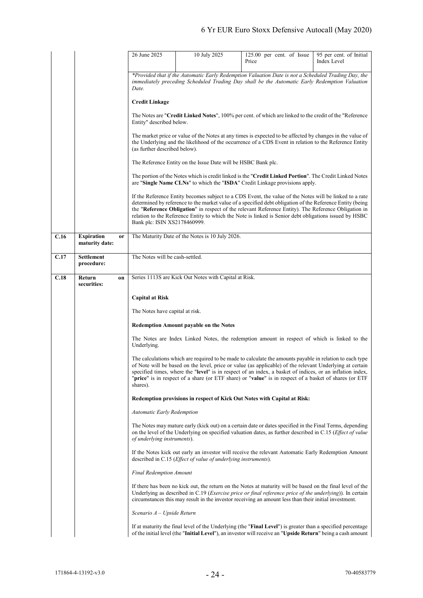|      |                                     |    | 26 June 2025                                                                                                                                                                                                                                         | 10 July 2025                                                            | 125.00 per cent. of Issue<br>Price                                                                                                                                                                                                                                                                                                                                                                                                          | 95 per cent. of Initial<br>Index Level |
|------|-------------------------------------|----|------------------------------------------------------------------------------------------------------------------------------------------------------------------------------------------------------------------------------------------------------|-------------------------------------------------------------------------|---------------------------------------------------------------------------------------------------------------------------------------------------------------------------------------------------------------------------------------------------------------------------------------------------------------------------------------------------------------------------------------------------------------------------------------------|----------------------------------------|
|      |                                     |    |                                                                                                                                                                                                                                                      |                                                                         |                                                                                                                                                                                                                                                                                                                                                                                                                                             |                                        |
|      |                                     |    | *Provided that if the Automatic Early Redemption Valuation Date is not a Scheduled Trading Day, the<br>immediately preceding Scheduled Trading Day shall be the Automatic Early Redemption Valuation<br>Date.                                        |                                                                         |                                                                                                                                                                                                                                                                                                                                                                                                                                             |                                        |
|      |                                     |    | <b>Credit Linkage</b>                                                                                                                                                                                                                                |                                                                         |                                                                                                                                                                                                                                                                                                                                                                                                                                             |                                        |
|      |                                     |    | The Notes are "Credit Linked Notes", 100% per cent. of which are linked to the credit of the "Reference"<br>Entity" described below.                                                                                                                 |                                                                         |                                                                                                                                                                                                                                                                                                                                                                                                                                             |                                        |
|      |                                     |    | The market price or value of the Notes at any times is expected to be affected by changes in the value of<br>the Underlying and the likelihood of the occurrence of a CDS Event in relation to the Reference Entity<br>(as further described below). |                                                                         |                                                                                                                                                                                                                                                                                                                                                                                                                                             |                                        |
|      |                                     |    | The Reference Entity on the Issue Date will be HSBC Bank plc.                                                                                                                                                                                        |                                                                         |                                                                                                                                                                                                                                                                                                                                                                                                                                             |                                        |
|      |                                     |    | The portion of the Notes which is credit linked is the "Credit Linked Portion". The Credit Linked Notes<br>are "Single Name CLNs" to which the "ISDA" Credit Linkage provisions apply.                                                               |                                                                         |                                                                                                                                                                                                                                                                                                                                                                                                                                             |                                        |
|      |                                     |    | Bank plc: ISIN XS2178460999.                                                                                                                                                                                                                         |                                                                         | If the Reference Entity becomes subject to a CDS Event, the value of the Notes will be linked to a rate<br>determined by reference to the market value of a specified debt obligation of the Reference Entity (being<br>the "Reference Obligation" in respect of the relevant Reference Entity). The Reference Obligation in<br>relation to the Reference Entity to which the Note is linked is Senior debt obligations issued by HSBC      |                                        |
| C.16 | <b>Expiration</b><br>maturity date: | or |                                                                                                                                                                                                                                                      | The Maturity Date of the Notes is 10 July 2026.                         |                                                                                                                                                                                                                                                                                                                                                                                                                                             |                                        |
| C.17 | Settlement<br>procedure:            |    | The Notes will be cash-settled.                                                                                                                                                                                                                      |                                                                         |                                                                                                                                                                                                                                                                                                                                                                                                                                             |                                        |
| C.18 | Return<br>securities:               | on |                                                                                                                                                                                                                                                      | Series 1113S are Kick Out Notes with Capital at Risk.                   |                                                                                                                                                                                                                                                                                                                                                                                                                                             |                                        |
|      |                                     |    | <b>Capital at Risk</b>                                                                                                                                                                                                                               |                                                                         |                                                                                                                                                                                                                                                                                                                                                                                                                                             |                                        |
|      |                                     |    | The Notes have capital at risk.                                                                                                                                                                                                                      |                                                                         |                                                                                                                                                                                                                                                                                                                                                                                                                                             |                                        |
|      |                                     |    |                                                                                                                                                                                                                                                      | Redemption Amount payable on the Notes                                  |                                                                                                                                                                                                                                                                                                                                                                                                                                             |                                        |
|      |                                     |    | Underlying.                                                                                                                                                                                                                                          |                                                                         | The Notes are Index Linked Notes, the redemption amount in respect of which is linked to the                                                                                                                                                                                                                                                                                                                                                |                                        |
|      |                                     |    | shares).                                                                                                                                                                                                                                             |                                                                         | The calculations which are required to be made to calculate the amounts payable in relation to each type<br>of Note will be based on the level, price or value (as applicable) of the relevant Underlying at certain<br>specified times, where the "level" is in respect of an index, a basket of indices, or an inflation index,<br>"price" is in respect of a share (or ETF share) or "value" is in respect of a basket of shares (or ETF |                                        |
|      |                                     |    |                                                                                                                                                                                                                                                      |                                                                         | Redemption provisions in respect of Kick Out Notes with Capital at Risk:                                                                                                                                                                                                                                                                                                                                                                    |                                        |
|      |                                     |    | <b>Automatic Early Redemption</b>                                                                                                                                                                                                                    |                                                                         |                                                                                                                                                                                                                                                                                                                                                                                                                                             |                                        |
|      |                                     |    | of underlying instruments).                                                                                                                                                                                                                          |                                                                         | The Notes may mature early (kick out) on a certain date or dates specified in the Final Terms, depending<br>on the level of the Underlying on specified valuation dates, as further described in C.15 ( <i>Effect of value</i>                                                                                                                                                                                                              |                                        |
|      |                                     |    |                                                                                                                                                                                                                                                      | described in C.15 ( <i>Effect of value of underlying instruments</i> ). | If the Notes kick out early an investor will receive the relevant Automatic Early Redemption Amount                                                                                                                                                                                                                                                                                                                                         |                                        |
|      |                                     |    | Final Redemption Amount                                                                                                                                                                                                                              |                                                                         |                                                                                                                                                                                                                                                                                                                                                                                                                                             |                                        |
|      |                                     |    |                                                                                                                                                                                                                                                      |                                                                         | If there has been no kick out, the return on the Notes at maturity will be based on the final level of the<br>Underlying as described in C.19 ( <i>Exercise price or final reference price of the underlying</i> )). In certain<br>circumstances this may result in the investor receiving an amount less than their initial investment.                                                                                                    |                                        |
|      |                                     |    | Scenario $A-U$ pside Return                                                                                                                                                                                                                          |                                                                         |                                                                                                                                                                                                                                                                                                                                                                                                                                             |                                        |
|      |                                     |    |                                                                                                                                                                                                                                                      |                                                                         | If at maturity the final level of the Underlying (the "Final Level") is greater than a specified percentage<br>of the initial level (the "Initial Level"), an investor will receive an "Upside Return" being a cash amount                                                                                                                                                                                                                  |                                        |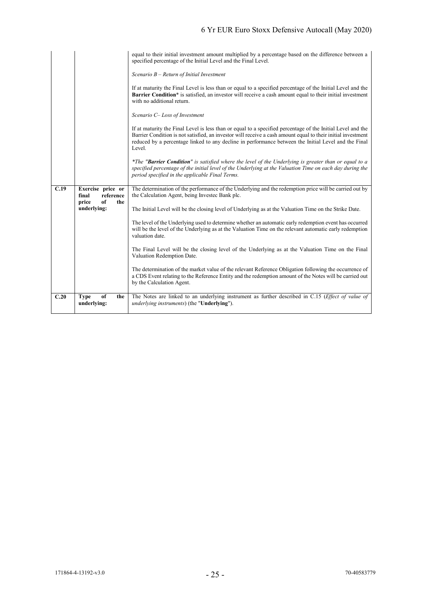|      |                                         | equal to their initial investment amount multiplied by a percentage based on the difference between a<br>specified percentage of the Initial Level and the Final Level.                                                                                                                                                                       |
|------|-----------------------------------------|-----------------------------------------------------------------------------------------------------------------------------------------------------------------------------------------------------------------------------------------------------------------------------------------------------------------------------------------------|
|      |                                         | Scenario $B$ – Return of Initial Investment                                                                                                                                                                                                                                                                                                   |
|      |                                         | If at maturity the Final Level is less than or equal to a specified percentage of the Initial Level and the<br><b>Barrier Condition</b> * is satisfied, an investor will receive a cash amount equal to their initial investment<br>with no additional return.                                                                                |
|      |                                         | Scenario C- Loss of Investment                                                                                                                                                                                                                                                                                                                |
|      |                                         | If at maturity the Final Level is less than or equal to a specified percentage of the Initial Level and the<br>Barrier Condition is not satisfied, an investor will receive a cash amount equal to their initial investment<br>reduced by a percentage linked to any decline in performance between the Initial Level and the Final<br>Level. |
|      |                                         | *The "Barrier Condition" is satisfied where the level of the Underlying is greater than or equal to a<br>specified percentage of the initial level of the Underlying at the Valuation Time on each day during the<br>period specified in the applicable Final Terms.                                                                          |
| C.19 | Exercise price or<br>reference<br>final | The determination of the performance of the Underlying and the redemption price will be carried out by<br>the Calculation Agent, being Invested Bank plc.                                                                                                                                                                                     |
|      | of<br>price<br>the<br>underlying:       |                                                                                                                                                                                                                                                                                                                                               |
|      |                                         | The Initial Level will be the closing level of Underlying as at the Valuation Time on the Strike Date.                                                                                                                                                                                                                                        |
|      |                                         | The level of the Underlying used to determine whether an automatic early redemption event has occurred<br>will be the level of the Underlying as at the Valuation Time on the relevant automatic early redemption<br>valuation date.                                                                                                          |
|      |                                         | The Final Level will be the closing level of the Underlying as at the Valuation Time on the Final<br>Valuation Redemption Date.                                                                                                                                                                                                               |
|      |                                         | The determination of the market value of the relevant Reference Obligation following the occurrence of<br>a CDS Event relating to the Reference Entity and the redemption amount of the Notes will be carried out<br>by the Calculation Agent.                                                                                                |
| C.20 | of<br><b>Type</b><br>the<br>underlying: | The Notes are linked to an underlying instrument as further described in C.15 ( <i>Effect of value of</i><br>underlying instruments) (the "Underlying").                                                                                                                                                                                      |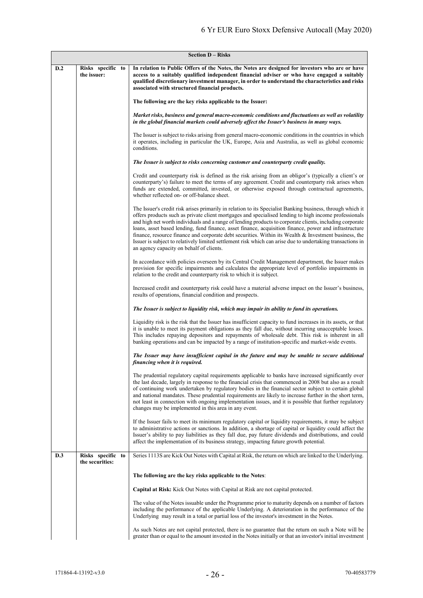| <b>Section D - Risks</b> |                                      |                                                                                                                                                                                                                                                                                                                                                                                                                                                                                                                                                                                                                                                                                                              |  |
|--------------------------|--------------------------------------|--------------------------------------------------------------------------------------------------------------------------------------------------------------------------------------------------------------------------------------------------------------------------------------------------------------------------------------------------------------------------------------------------------------------------------------------------------------------------------------------------------------------------------------------------------------------------------------------------------------------------------------------------------------------------------------------------------------|--|
| D.2                      | Risks specific to<br>the issuer:     | In relation to Public Offers of the Notes, the Notes are designed for investors who are or have<br>access to a suitably qualified independent financial adviser or who have engaged a suitably<br>qualified discretionary investment manager, in order to understand the characteristics and risks<br>associated with structured financial products.                                                                                                                                                                                                                                                                                                                                                         |  |
|                          |                                      | The following are the key risks applicable to the Issuer:                                                                                                                                                                                                                                                                                                                                                                                                                                                                                                                                                                                                                                                    |  |
|                          |                                      | Market risks, business and general macro-economic conditions and fluctuations as well as volatility<br>in the global financial markets could adversely affect the Issuer's business in many ways.                                                                                                                                                                                                                                                                                                                                                                                                                                                                                                            |  |
|                          |                                      | The Issuer is subject to risks arising from general macro-economic conditions in the countries in which<br>it operates, including in particular the UK, Europe, Asia and Australia, as well as global economic<br>conditions.                                                                                                                                                                                                                                                                                                                                                                                                                                                                                |  |
|                          |                                      | The Issuer is subject to risks concerning customer and counterparty credit quality.                                                                                                                                                                                                                                                                                                                                                                                                                                                                                                                                                                                                                          |  |
|                          |                                      | Credit and counterparty risk is defined as the risk arising from an obligor's (typically a client's or<br>counterparty's) failure to meet the terms of any agreement. Credit and counterparty risk arises when<br>funds are extended, committed, invested, or otherwise exposed through contractual agreements,<br>whether reflected on- or off-balance sheet.                                                                                                                                                                                                                                                                                                                                               |  |
|                          |                                      | The Issuer's credit risk arises primarily in relation to its Specialist Banking business, through which it<br>offers products such as private client mortgages and specialised lending to high income professionals<br>and high net worth individuals and a range of lending products to corporate clients, including corporate<br>loans, asset based lending, fund finance, asset finance, acquisition finance, power and infrastructure<br>finance, resource finance and corporate debt securities. Within its Wealth & Investment business, the<br>Issuer is subject to relatively limited settlement risk which can arise due to undertaking transactions in<br>an agency capacity on behalf of clients. |  |
|                          |                                      | In accordance with policies overseen by its Central Credit Management department, the Issuer makes<br>provision for specific impairments and calculates the appropriate level of portfolio impairments in<br>relation to the credit and counterparty risk to which it is subject.                                                                                                                                                                                                                                                                                                                                                                                                                            |  |
|                          |                                      | Increased credit and counterparty risk could have a material adverse impact on the Issuer's business,<br>results of operations, financial condition and prospects.                                                                                                                                                                                                                                                                                                                                                                                                                                                                                                                                           |  |
|                          |                                      | The Issuer is subject to liquidity risk, which may impair its ability to fund its operations.                                                                                                                                                                                                                                                                                                                                                                                                                                                                                                                                                                                                                |  |
|                          |                                      | Liquidity risk is the risk that the Issuer has insufficient capacity to fund increases in its assets, or that<br>it is unable to meet its payment obligations as they fall due, without incurring unacceptable losses.<br>This includes repaying depositors and repayments of wholesale debt. This risk is inherent in all<br>banking operations and can be impacted by a range of institution-specific and market-wide events.                                                                                                                                                                                                                                                                              |  |
|                          |                                      | The Issuer may have insufficient capital in the future and may be unable to secure additional<br>financing when it is required.                                                                                                                                                                                                                                                                                                                                                                                                                                                                                                                                                                              |  |
|                          |                                      | The prudential regulatory capital requirements applicable to banks have increased significantly over<br>the last decade, largely in response to the financial crisis that commenced in 2008 but also as a result<br>of continuing work undertaken by regulatory bodies in the financial sector subject to certain global<br>and national mandates. These prudential requirements are likely to increase further in the short term,<br>not least in connection with ongoing implementation issues, and it is possible that further regulatory<br>changes may be implemented in this area in any event.                                                                                                        |  |
|                          |                                      | If the Issuer fails to meet its minimum regulatory capital or liquidity requirements, it may be subject<br>to administrative actions or sanctions. In addition, a shortage of capital or liquidity could affect the<br>Issuer's ability to pay liabilities as they fall due, pay future dividends and distributions, and could<br>affect the implementation of its business strategy, impacting future growth potential.                                                                                                                                                                                                                                                                                     |  |
| D.3                      | Risks specific to<br>the securities: | Series 1113S are Kick Out Notes with Capital at Risk, the return on which are linked to the Underlying.                                                                                                                                                                                                                                                                                                                                                                                                                                                                                                                                                                                                      |  |
|                          |                                      | The following are the key risks applicable to the Notes:                                                                                                                                                                                                                                                                                                                                                                                                                                                                                                                                                                                                                                                     |  |
|                          |                                      | Capital at Risk: Kick Out Notes with Capital at Risk are not capital protected.                                                                                                                                                                                                                                                                                                                                                                                                                                                                                                                                                                                                                              |  |
|                          |                                      | The value of the Notes issuable under the Programme prior to maturity depends on a number of factors<br>including the performance of the applicable Underlying. A deterioration in the performance of the<br>Underlying may result in a total or partial loss of the investor's investment in the Notes.                                                                                                                                                                                                                                                                                                                                                                                                     |  |
|                          |                                      | As such Notes are not capital protected, there is no guarantee that the return on such a Note will be<br>greater than or equal to the amount invested in the Notes initially or that an investor's initial investment                                                                                                                                                                                                                                                                                                                                                                                                                                                                                        |  |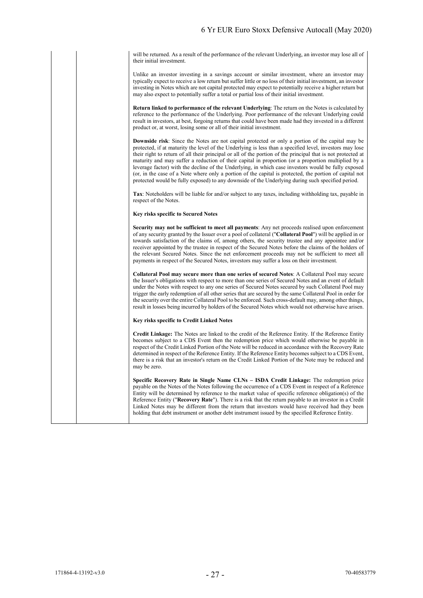will be returned. As a result of the performance of the relevant Underlying, an investor may lose all of their initial investment.

Unlike an investor investing in a savings account or similar investment, where an investor may typically expect to receive a low return but suffer little or no loss of their initial investment, an investor investing in Notes which are not capital protected may expect to potentially receive a higher return but may also expect to potentially suffer a total or partial loss of their initial investment.

**Return linked to performance of the relevant Underlying**: The return on the Notes is calculated by reference to the performance of the Underlying. Poor performance of the relevant Underlying could result in investors, at best, forgoing returns that could have been made had they invested in a different product or, at worst, losing some or all of their initial investment.

**Downside risk**: Since the Notes are not capital protected or only a portion of the capital may be protected, if at maturity the level of the Underlying is less than a specified level, investors may lose their right to return of all their principal or all of the portion of the principal that is not protected at maturity and may suffer a reduction of their capital in proportion (or a proportion multiplied by a leverage factor) with the decline of the Underlying, in which case investors would be fully exposed (or, in the case of a Note where only a portion of the capital is protected, the portion of capital not protected would be fully exposed) to any downside of the Underlying during such specified period.

**Tax**: Noteholders will be liable for and/or subject to any taxes, including withholding tax, payable in respect of the Notes.

#### **Key risks specific to Secured Notes**

**Security may not be sufficient to meet all payments**: Any net proceeds realised upon enforcement of any security granted by the Issuer over a pool of collateral ("**Collateral Pool**") will be applied in or towards satisfaction of the claims of, among others, the security trustee and any appointee and/or receiver appointed by the trustee in respect of the Secured Notes before the claims of the holders of the relevant Secured Notes. Since the net enforcement proceeds may not be sufficient to meet all payments in respect of the Secured Notes, investors may suffer a loss on their investment.

**Collateral Pool may secure more than one series of secured Notes**: A Collateral Pool may secure the Issuer's obligations with respect to more than one series of Secured Notes and an event of default under the Notes with respect to any one series of Secured Notes secured by such Collateral Pool may trigger the early redemption of all other series that are secured by the same Collateral Pool in order for the security over the entire Collateral Pool to be enforced. Such cross-default may, among other things, result in losses being incurred by holders of the Secured Notes which would not otherwise have arisen.

#### **Key risks specific to Credit Linked Notes**

**Credit Linkage:** The Notes are linked to the credit of the Reference Entity. If the Reference Entity becomes subject to a CDS Event then the redemption price which would otherwise be payable in respect of the Credit Linked Portion of the Note will be reduced in accordance with the Recovery Rate determined in respect of the Reference Entity. If the Reference Entity becomes subject to a CDS Event, there is a risk that an investor's return on the Credit Linked Portion of the Note may be reduced and may be zero.

**Specific Recovery Rate in Single Name CLNs – ISDA Credit Linkage:** The redemption price payable on the Notes of the Notes following the occurrence of a CDS Event in respect of a Reference Entity will be determined by reference to the market value of specific reference obligation(s) of the Reference Entity ("**Recovery Rate**"). There is a risk that the return payable to an investor in a Credit Linked Notes may be different from the return that investors would have received had they been holding that debt instrument or another debt instrument issued by the specified Reference Entity.